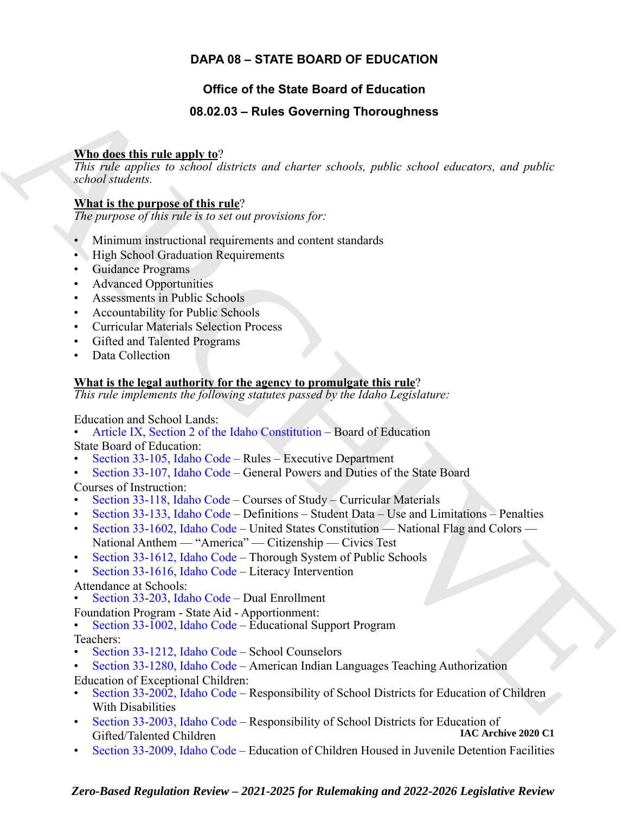### **DAPA 08 – STATE BOARD OF EDUCATION**

### **Office of the State Board of Education**

### **08.02.03 – Rules Governing Thoroughness**

### **Who does this rule apply to**?

*This rule applies to school districts and charter schools, public school educators, and public school students.*

### **What is the purpose of this rule**?

*The purpose of this rule is to set out provisions for:*

- Minimum instructional requirements and content standards
- High School Graduation Requirements
- Guidance Programs
- Advanced Opportunities
- Assessments in Public Schools
- Accountability for Public Schools
- Curricular Materials Selection Process
- Gifted and Talented Programs
- Data Collection

### **What is the legal authority for the agency to promulgate this rule**?

*This rule implements the following statutes passed by the Idaho Legislature:*

Education and School Lands:

- Article IX, Section 2 of the Idaho Constitution Board of Education State Board of Education:
- Section 33-105, Idaho Code Rules Executive Department
- Section 33-107, Idaho Code General Powers and Duties of the State Board

Courses of Instruction:

- Section 33-118, Idaho Code Courses of Study Curricular Materials
- Section 33-133, Idaho Code Definitions Student Data Use and Limitations Penalties
- Section 33-1602, Idaho Code United States Constitution National Flag and Colors National Anthem — "America" — Citizenship — Civics Test
- Section 33-1612, Idaho Code Thorough System of Public Schools
- Section 33-1616, Idaho Code Literacy Intervention

Attendance at Schools:

- Section 33-203, Idaho Code Dual Enrollment
- 
- Foundation Program State Aid Apportionment: Section 33-1002, Idaho Code Educational Support Program

Teachers:

• Section 33-1212, Idaho Code – School Counselors

### • Section 33-1280, Idaho Code – American Indian Languages Teaching Authorization Education of Exceptional Children:

- <span id="page-0-0"></span>**19. Data discrete the matrix and School Leader and School Constrainers and public School School School Constrainers and public school school school school school school school school school school school school school sc** • Section 33-2002, Idaho Code – Responsibility of School Districts for Education of Children With Disabilities
	- [Section 33-2003, Idaho Code](https://legislature.idaho.gov/statutesrules/idstat/Title33/T33CH20/SECT33-2003)  Responsibility of School Districts for Education of<br>Gifted/Telepted Children (1890) Gifted/Talented Children
	- [Section 33-2009, Idaho Code](https://legislature.idaho.gov/statutesrules/idstat/Title33/T33CH20/SECT33-2009) Education of Children Housed in Juvenile Detention Facilities

### *Zero-Based Regulation Review – 2021-2025 for Rulemaking and 2022-2026 Legislative Review*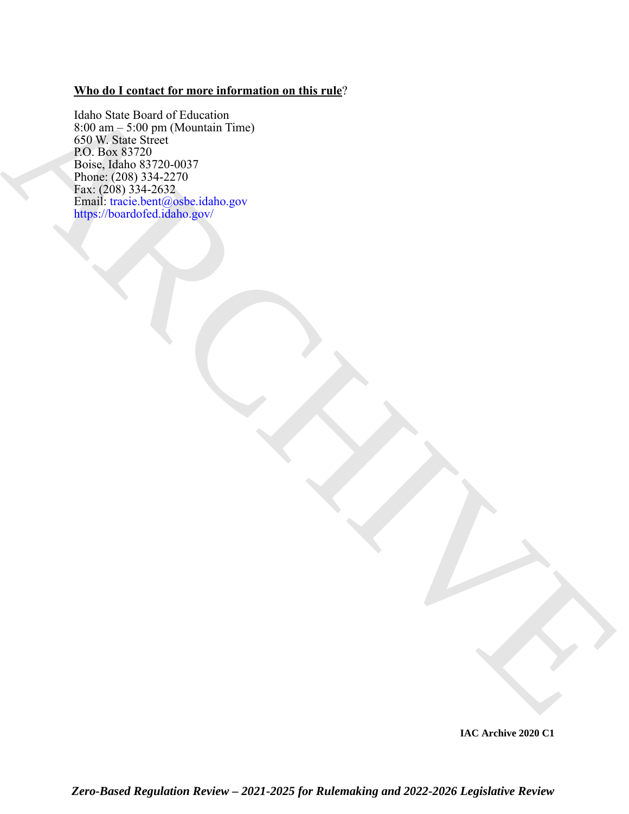### **Who do I contact for more information on this rule**?

Interaction (Marchive Merchant)<br> [AR](https://boardofed.idaho.gov/)CHIVES (MARCHIVES)<br>
CONTRACTION<br>
PRODUCTION (MARCHIVES)<br>
PRODUCTION (MARCHIVES)<br>
PRODUCTION (MARCHIVES)<br>
PRODUCTION (MARCHIVES)<br>
PRODUCTION (MARCHIVES)<br>
PRODUCTION (MARCHIVES)<br>
PRODUCTION Idaho State Board of Education 8:00 am – 5:00 pm (Mountain Time) 650 W. State Street P.O. Box 83720 Boise, Idaho 83720-0037 Phone: (208) 334-2270 Fax: (208) 334-2632 Email: tracie.bent@osbe.idaho.gov https://boardofed.idaho.gov/

*Zero-Based Regulation Review – 2021-2025 for Rulemaking and 2022-2026 Legislative Review* **IAC Archive 2020 C1**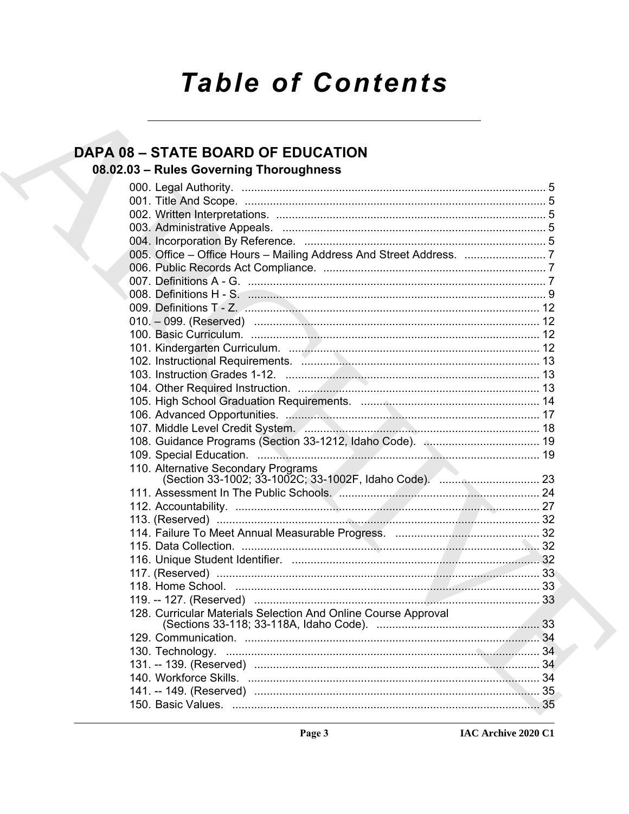# **Table of Contents**

## **DAPA 08 - STATE BOARD OF EDUCATION**

## 08.02.03 - Rules Governing Thoroughness

| 110. Alternative Secondary Programs                            |  |
|----------------------------------------------------------------|--|
|                                                                |  |
|                                                                |  |
|                                                                |  |
|                                                                |  |
|                                                                |  |
|                                                                |  |
|                                                                |  |
|                                                                |  |
|                                                                |  |
|                                                                |  |
| 128. Curricular Materials Selection And Online Course Approval |  |
|                                                                |  |
|                                                                |  |
|                                                                |  |
|                                                                |  |
|                                                                |  |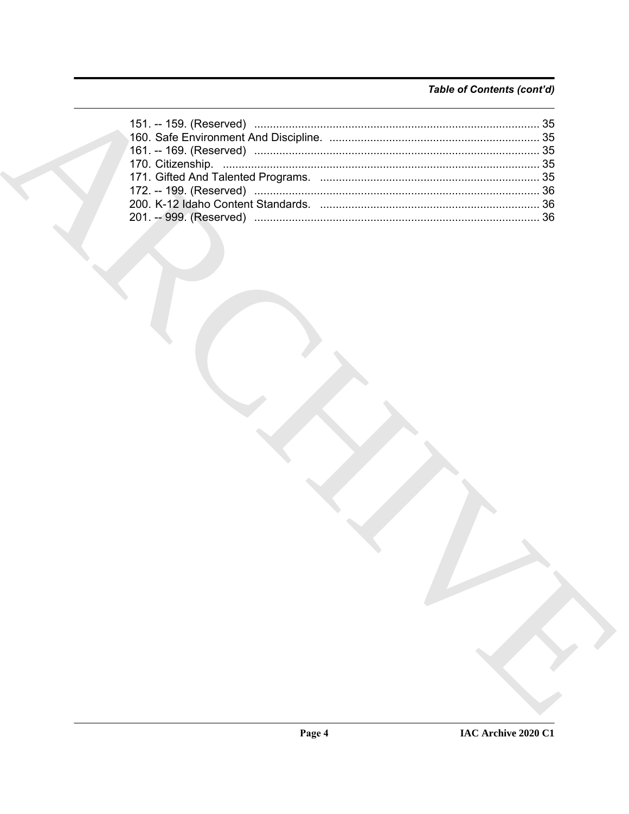### Table of Contents (cont'd)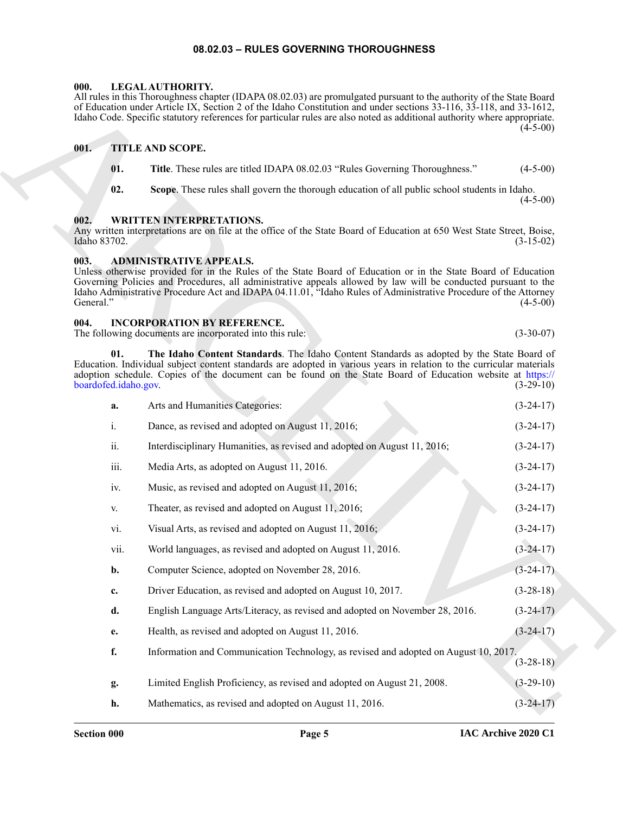#### **08.02.03 – RULES GOVERNING THOROUGHNESS**

#### <span id="page-4-9"></span><span id="page-4-1"></span><span id="page-4-0"></span>**000. LEGAL AUTHORITY.**

#### <span id="page-4-2"></span>**001. TITLE AND SCOPE.**

- <span id="page-4-10"></span>**01. Title**. These rules are titled IDAPA 08.02.03 "Rules Governing Thoroughness." (4-5-00)
- <span id="page-4-11"></span>**02. Scope**. These rules shall govern the thorough education of all public school students in Idaho.  $(4-5-00)$

#### <span id="page-4-3"></span>**002. WRITTEN INTERPRETATIONS.**

# Any written interpretations are on file at the office of the State Board of Education at 650 West State Street, Boise,

## <span id="page-4-6"></span><span id="page-4-4"></span>Idaho 83702. (3-15-02)

#### <span id="page-4-8"></span><span id="page-4-7"></span><span id="page-4-5"></span>**004. INCORPORATION BY REFERENCE.**

|                      |                             | All rules in this Thoroughness chapter (IDAPA 08.02.03) are promulgated pursuant to the authority of the State Board<br>of Education under Article IX, Section 2 of the Idaho Constitution and under sections 33-116, 33-118, and 33-1612,<br>Idaho Code. Specific statutory references for particular rules are also noted as additional authority where appropriate.               | $(4-5-00)$  |
|----------------------|-----------------------------|--------------------------------------------------------------------------------------------------------------------------------------------------------------------------------------------------------------------------------------------------------------------------------------------------------------------------------------------------------------------------------------|-------------|
| 001.                 |                             | <b>TITLE AND SCOPE.</b>                                                                                                                                                                                                                                                                                                                                                              |             |
|                      | 01.                         | Title. These rules are titled IDAPA 08.02.03 "Rules Governing Thoroughness."                                                                                                                                                                                                                                                                                                         | $(4-5-00)$  |
|                      | 02.                         | Scope. These rules shall govern the thorough education of all public school students in Idaho.                                                                                                                                                                                                                                                                                       | $(4-5-00)$  |
| 002.<br>Idaho 83702. |                             | <b>WRITTEN INTERPRETATIONS.</b><br>Any written interpretations are on file at the office of the State Board of Education at 650 West State Street, Boise,                                                                                                                                                                                                                            | $(3-15-02)$ |
| 003.<br>General."    |                             | <b>ADMINISTRATIVE APPEALS.</b><br>Unless otherwise provided for in the Rules of the State Board of Education or in the State Board of Education<br>Governing Policies and Procedures, all administrative appeals allowed by law will be conducted pursuant to the<br>Idaho Administrative Procedure Act and IDAPA 04.11.01, "Idaho Rules of Administrative Procedure of the Attorney | $(4-5-00)$  |
| 004.                 |                             | <b>INCORPORATION BY REFERENCE.</b><br>The following documents are incorporated into this rule:                                                                                                                                                                                                                                                                                       | $(3-30-07)$ |
|                      | 01.<br>boardofed.idaho.gov. | The Idaho Content Standards. The Idaho Content Standards as adopted by the State Board of<br>Education. Individual subject content standards are adopted in various years in relation to the curricular materials<br>adoption schedule. Copies of the document can be found on the State Board of Education website at https://                                                      | $(3-29-10)$ |
|                      | a.                          | Arts and Humanities Categories:                                                                                                                                                                                                                                                                                                                                                      | $(3-24-17)$ |
|                      | $\mathbf{i}$ .              | Dance, as revised and adopted on August 11, 2016;                                                                                                                                                                                                                                                                                                                                    | $(3-24-17)$ |
|                      | ii.                         | Interdisciplinary Humanities, as revised and adopted on August 11, 2016;                                                                                                                                                                                                                                                                                                             | $(3-24-17)$ |
|                      | iii.                        | Media Arts, as adopted on August 11, 2016.                                                                                                                                                                                                                                                                                                                                           | $(3-24-17)$ |
|                      | iv.                         | Music, as revised and adopted on August 11, 2016;                                                                                                                                                                                                                                                                                                                                    | $(3-24-17)$ |
|                      | V.                          | Theater, as revised and adopted on August 11, 2016;                                                                                                                                                                                                                                                                                                                                  | $(3-24-17)$ |
|                      | vi.                         | Visual Arts, as revised and adopted on August 11, 2016;                                                                                                                                                                                                                                                                                                                              | $(3-24-17)$ |
|                      | vii.                        | World languages, as revised and adopted on August 11, 2016.                                                                                                                                                                                                                                                                                                                          | $(3-24-17)$ |
|                      | b.                          | Computer Science, adopted on November 28, 2016.                                                                                                                                                                                                                                                                                                                                      | $(3-24-17)$ |
|                      | c.                          | Driver Education, as revised and adopted on August 10, 2017.                                                                                                                                                                                                                                                                                                                         | $(3-28-18)$ |
|                      | d.                          | English Language Arts/Literacy, as revised and adopted on November 28, 2016.                                                                                                                                                                                                                                                                                                         | $(3-24-17)$ |
|                      | e.                          | Health, as revised and adopted on August 11, 2016.                                                                                                                                                                                                                                                                                                                                   | $(3-24-17)$ |
|                      | f.                          | Information and Communication Technology, as revised and adopted on August 10, 2017.                                                                                                                                                                                                                                                                                                 | $(3-28-18)$ |
|                      | g.                          | Limited English Proficiency, as revised and adopted on August 21, 2008.                                                                                                                                                                                                                                                                                                              | $(3-29-10)$ |
|                      | h.                          | Mathematics, as revised and adopted on August 11, 2016.                                                                                                                                                                                                                                                                                                                              | $(3-24-17)$ |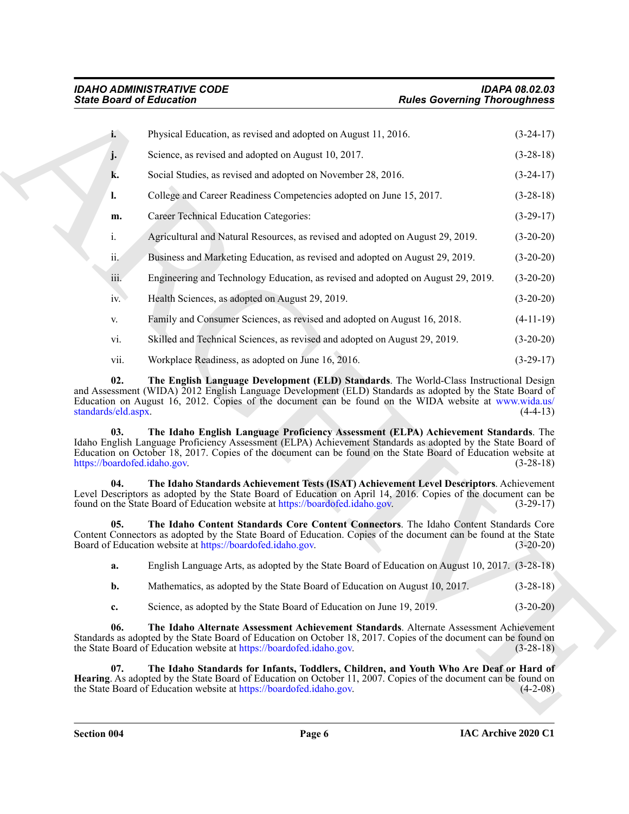<span id="page-5-5"></span><span id="page-5-4"></span><span id="page-5-3"></span><span id="page-5-2"></span><span id="page-5-1"></span><span id="page-5-0"></span>

| Physical Education, as revised and adopted on August 11, 2016.<br>i.<br>j.<br>Science, as revised and adopted on August 10, 2017.<br>k.<br>Social Studies, as revised and adopted on November 28, 2016.<br>College and Career Readiness Competencies adopted on June 15, 2017.<br>l.<br><b>Career Technical Education Categories:</b><br>m.<br>i.<br>Agricultural and Natural Resources, as revised and adopted on August 29, 2019.<br>ii.<br>Business and Marketing Education, as revised and adopted on August 29, 2019.<br>iii.<br>Engineering and Technology Education, as revised and adopted on August 29, 2019. | $(3-24-17)$<br>$(3-28-18)$<br>$(3-24-17)$<br>$(3-28-18)$<br>$(3-29-17)$<br>$(3-20-20)$<br>$(3-20-20)$                                                                                                      |
|------------------------------------------------------------------------------------------------------------------------------------------------------------------------------------------------------------------------------------------------------------------------------------------------------------------------------------------------------------------------------------------------------------------------------------------------------------------------------------------------------------------------------------------------------------------------------------------------------------------------|------------------------------------------------------------------------------------------------------------------------------------------------------------------------------------------------------------|
|                                                                                                                                                                                                                                                                                                                                                                                                                                                                                                                                                                                                                        |                                                                                                                                                                                                            |
|                                                                                                                                                                                                                                                                                                                                                                                                                                                                                                                                                                                                                        |                                                                                                                                                                                                            |
|                                                                                                                                                                                                                                                                                                                                                                                                                                                                                                                                                                                                                        |                                                                                                                                                                                                            |
|                                                                                                                                                                                                                                                                                                                                                                                                                                                                                                                                                                                                                        |                                                                                                                                                                                                            |
|                                                                                                                                                                                                                                                                                                                                                                                                                                                                                                                                                                                                                        |                                                                                                                                                                                                            |
|                                                                                                                                                                                                                                                                                                                                                                                                                                                                                                                                                                                                                        |                                                                                                                                                                                                            |
|                                                                                                                                                                                                                                                                                                                                                                                                                                                                                                                                                                                                                        |                                                                                                                                                                                                            |
|                                                                                                                                                                                                                                                                                                                                                                                                                                                                                                                                                                                                                        | $(3-20-20)$                                                                                                                                                                                                |
| Health Sciences, as adopted on August 29, 2019.<br>iv.                                                                                                                                                                                                                                                                                                                                                                                                                                                                                                                                                                 | $(3-20-20)$                                                                                                                                                                                                |
| Family and Consumer Sciences, as revised and adopted on August 16, 2018.<br>V.                                                                                                                                                                                                                                                                                                                                                                                                                                                                                                                                         | $(4-11-19)$                                                                                                                                                                                                |
| Skilled and Technical Sciences, as revised and adopted on August 29, 2019.<br>vi.                                                                                                                                                                                                                                                                                                                                                                                                                                                                                                                                      | $(3-20-20)$                                                                                                                                                                                                |
| Workplace Readiness, as adopted on June 16, 2016.<br>vii.                                                                                                                                                                                                                                                                                                                                                                                                                                                                                                                                                              | $(3-29-17)$                                                                                                                                                                                                |
| 02.<br>and Assessment (WIDA) 2012 English Language Development (ELD) Standards as adopted by the State Board of<br>Education on August 16, 2012. Copies of the document can be found on the WIDA website at www.wida.us/<br>standards/eld.aspx.<br>03.<br>Idaho English Language Proficiency Assessment (ELPA) Achievement Standards as adopted by the State Board of<br>Education on October 18, 2017. Copies of the document can be found on the State Board of Education website at<br>https://boardofed.idaho.gov.                                                                                                 | The English Language Development (ELD) Standards. The World-Class Instructional Design<br>$(4-4-13)$<br>The Idaho English Language Proficiency Assessment (ELPA) Achievement Standards. The<br>$(3-28-18)$ |
| 04.<br>Level Descriptors as adopted by the State Board of Education on April 14, 2016. Copies of the document can be<br>found on the State Board of Education website at https://boardofed.idaho.gov.                                                                                                                                                                                                                                                                                                                                                                                                                  | The Idaho Standards Achievement Tests (ISAT) Achievement Level Descriptors. Achievement<br>$(3-29-17)$                                                                                                     |
| 05.<br>Content Connectors as adopted by the State Board of Education. Copies of the document can be found at the State<br>Board of Education website at https://boardofed.idaho.gov.                                                                                                                                                                                                                                                                                                                                                                                                                                   | The Idaho Content Standards Core Content Connectors. The Idaho Content Standards Core<br>$(3-20-20)$                                                                                                       |
| a.                                                                                                                                                                                                                                                                                                                                                                                                                                                                                                                                                                                                                     | English Language Arts, as adopted by the State Board of Education on August 10, 2017. (3-28-18)                                                                                                            |
| Mathematics, as adopted by the State Board of Education on August 10, 2017.<br>b.                                                                                                                                                                                                                                                                                                                                                                                                                                                                                                                                      | $(3-28-18)$                                                                                                                                                                                                |
| Science, as adopted by the State Board of Education on June 19, 2019.<br>c.                                                                                                                                                                                                                                                                                                                                                                                                                                                                                                                                            | $(3-20-20)$                                                                                                                                                                                                |
| 06.<br>Standards as adopted by the State Board of Education on October 18, 2017. Copies of the document can be found on<br>the State Board of Education website at https://boardofed.idaho.gov.                                                                                                                                                                                                                                                                                                                                                                                                                        | The Idaho Alternate Assessment Achievement Standards. Alternate Assessment Achievement<br>$(3-28-18)$                                                                                                      |
| 07.<br>Hearing. As adopted by the State Board of Education on October 11, 2007. Copies of the document can be found on<br>the State Board of Education website at https://boardofed.idaho.gov.                                                                                                                                                                                                                                                                                                                                                                                                                         | The Idaho Standards for Infants, Toddlers, Children, and Youth Who Are Deaf or Hard of<br>$(4-2-08)$                                                                                                       |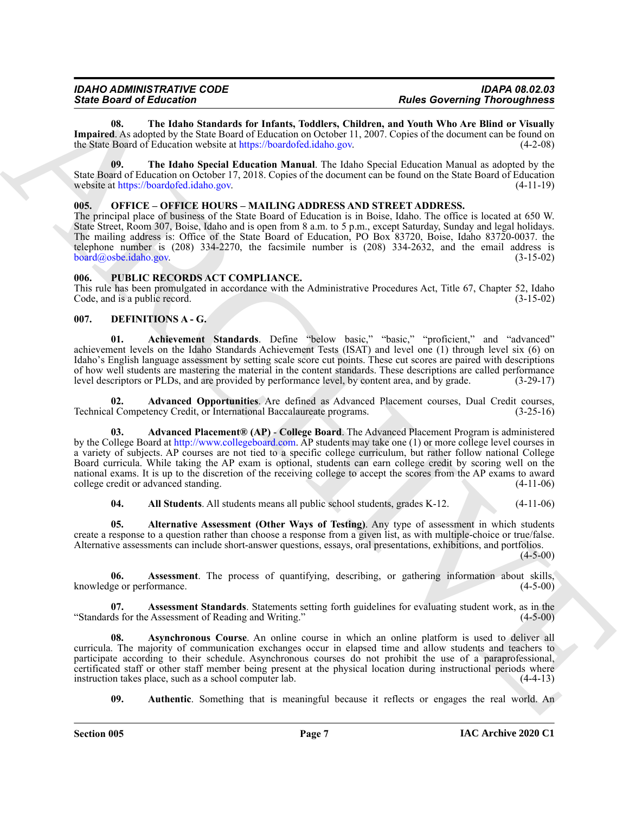| <b>IDAHO ADMINISTRATIVE CODE</b> | <b>IDAPA 08.02.03</b>               |
|----------------------------------|-------------------------------------|
| <b>State Board of Education</b>  | <b>Rules Governing Thoroughness</b> |

<span id="page-6-13"></span>**08. The Idaho Standards for Infants, Toddlers, Children, and Youth Who Are Blind or Visually Impaired**. As adopted by the State Board of Education on October 11, 2007. Copies of the document can be found on the State Board of Education website at https://boardofed.idaho.gov. (4-2-08)

<span id="page-6-12"></span>**09. The Idaho Special Education Manual**. The Idaho Special Education Manual as adopted by the State Board of Education on October 17, 2018. Copies of the document can be found on the State Board of Education website at https://boardofed.idaho.gov. (4-11-19) website at https://boardofed.idaho.gov.

#### <span id="page-6-14"></span><span id="page-6-0"></span>**005. OFFICE – OFFICE HOURS – MAILING ADDRESS AND STREET ADDRESS.**

The principal place of business of the State Board of Education is in Boise, Idaho. The office is located at 650 W. State Street, Room 307, Boise, Idaho and is open from 8 a.m. to 5 p.m., except Saturday, Sunday and legal holidays. The mailing address is: Office of the State Board of Education, PO Box 83720, Boise, Idaho 83720-0037. the telephone number is (208) 334-2270, the facsimile number is (208) 334-2632, and the email address is board@osbe.idaho.gov. (3-15-02)

#### <span id="page-6-15"></span><span id="page-6-1"></span>**006. PUBLIC RECORDS ACT COMPLIANCE.**

This rule has been promulgated in accordance with the Administrative Procedures Act, Title 67, Chapter 52, Idaho Code, and is a public record. (3-15-02) Code, and is a public record.

#### <span id="page-6-3"></span><span id="page-6-2"></span>**007. DEFINITIONS A - G.**

<span id="page-6-4"></span>**01. Achievement Standards**. Define "below basic," "basic," "proficient," and "advanced" achievement levels on the Idaho Standards Achievement Tests (ISAT) and level one (1) through level six (6) on Idaho's English language assessment by setting scale score cut points. These cut scores are paired with descriptions of how well students are mastering the material in the content standards. These descriptions are called performance<br>level descriptors or PLDs, and are provided by performance level, by content area, and by grade. (3-29-17) level descriptors or PLDs, and are provided by performance level, by content area, and by grade.

<span id="page-6-5"></span>Advanced Opportunities. Are defined as Advanced Placement courses, Dual Credit courses, ency Credit, or International Baccalaureate programs. (3-25-16) Technical Competency Credit, or International Baccalaureate programs.

Since Brazil et Education State Landscher (Education State Golden) and Wast Concerting Tensor (Education State Landscher (Education State Landscher (Education State Landscher (Education State Landscher (Education State La **03. Advanced Placement® (AP)** - **College Board**. The Advanced Placement Program is administered by the College Board at http://www.collegeboard.com. AP students may take one (1) or more college level courses in a variety of subjects. AP courses are not tied to a specific college curriculum, but rather follow national College Board curricula. While taking the AP exam is optional, students can earn college credit by scoring well on the national exams. It is up to the discretion of the receiving college to accept the scores from the AP exams to award college credit or advanced standing. (4-11-06) college credit or advanced standing.

<span id="page-6-8"></span><span id="page-6-7"></span><span id="page-6-6"></span>**04. All Students**. All students means all public school students, grades K-12. (4-11-06)

**05. Alternative Assessment (Other Ways of Testing)**. Any type of assessment in which students create a response to a question rather than choose a response from a given list, as with multiple-choice or true/false. Alternative assessments can include short-answer questions, essays, oral presentations, exhibitions, and portfolios.

 $(4-5-00)$ 

**06. Assessment**. The process of quantifying, describing, or gathering information about skills, ge or performance. (4-5-00) knowledge or performance.

<span id="page-6-9"></span>**Assessment Standards**. Statements setting forth guidelines for evaluating student work, as in the exassessment of Reading and Writing." (4-5-00) "Standards for the Assessment of Reading and Writing."

<span id="page-6-10"></span>**08. Asynchronous Course**. An online course in which an online platform is used to deliver all curricula. The majority of communication exchanges occur in elapsed time and allow students and teachers to participate according to their schedule. Asynchronous courses do not prohibit the use of a paraprofessional, certificated staff or other staff member being present at the physical location during instructional periods where instruction takes place, such as a school computer lab. (4-4-13) instruction takes place, such as a school computer lab.

<span id="page-6-11"></span>**09.** Authentic. Something that is meaningful because it reflects or engages the real world. An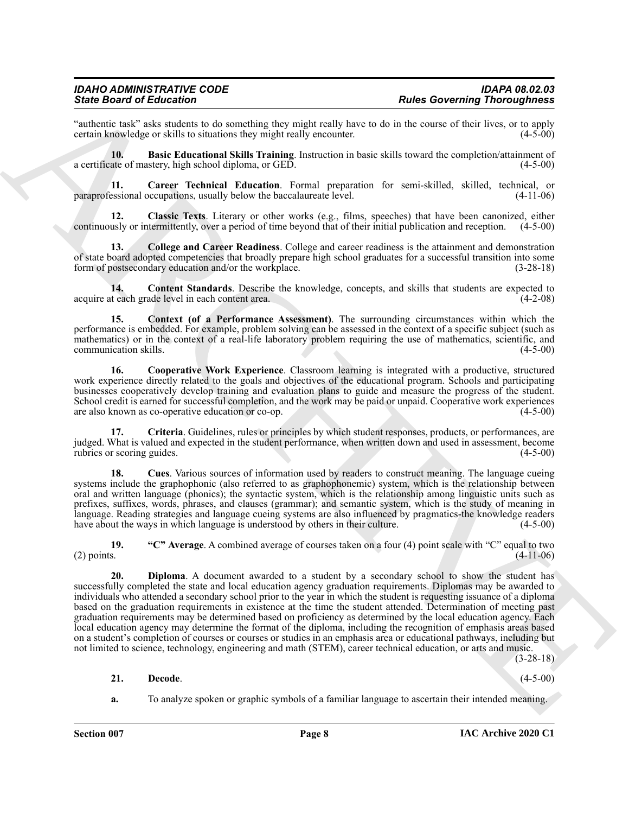"authentic task" asks students to do something they might really have to do in the course of their lives, or to apply certain knowledge or skills to situations they might really encounter.

<span id="page-7-1"></span>**10. Basic Educational Skills Training**. Instruction in basic skills toward the completion/attainment of ate of mastery, high school diploma, or GED. (4-5-00) a certificate of mastery, high school diploma, or GED.

<span id="page-7-2"></span>**11.** Career Technical Education. Formal preparation for semi-skilled, skilled, technical, or essional occupations, usually below the baccalaureate level. (4-11-06) paraprofessional occupations, usually below the baccalaureate level.

<span id="page-7-3"></span>**12. Classic Texts**. Literary or other works (e.g., films, speeches) that have been canonized, either continuously or intermittently, over a period of time beyond that of their initial publication and reception. (4-5-00)

<span id="page-7-4"></span>**13. College and Career Readiness**. College and career readiness is the attainment and demonstration of state board adopted competencies that broadly prepare high school graduates for a successful transition into some form of postsecondary education and/or the workplace. (3-28-18)

<span id="page-7-5"></span>**14. Content Standards**. Describe the knowledge, concepts, and skills that students are expected to teach grade level in each content area. (4-2-08) acquire at each grade level in each content area.

<span id="page-7-6"></span>**15. Context (of a Performance Assessment)**. The surrounding circumstances within which the performance is embedded. For example, problem solving can be assessed in the context of a specific subject (such as mathematics) or in the context of a real-life laboratory problem requiring the use of mathematics, scientific, and communication skills. (4-5-00)

<span id="page-7-7"></span>**16. Cooperative Work Experience**. Classroom learning is integrated with a productive, structured work experience directly related to the goals and objectives of the educational program. Schools and participating businesses cooperatively develop training and evaluation plans to guide and measure the progress of the student. School credit is earned for successful completion, and the work may be paid or unpaid. Cooperative work experiences are also known as co-operative education or co-op. (4-5-00)

<span id="page-7-8"></span>**17. Criteria**. Guidelines, rules or principles by which student responses, products, or performances, are judged. What is valued and expected in the student performance, when written down and used in assessment, become rubrics or scoring guides.

<span id="page-7-9"></span>**18. Cues**. Various sources of information used by readers to construct meaning. The language cueing systems include the graphophonic (also referred to as graphophonemic) system, which is the relationship between oral and written language (phonics); the syntactic system, which is the relationship among linguistic units such as prefixes, suffixes, words, phrases, and clauses (grammar); and semantic system, which is the study of meaning in language. Reading strategies and language cueing systems are also influenced by pragmatics-the knowledge readers have about the ways in which language is understood by others in their culture. (4-5-00) have about the ways in which language is understood by others in their culture.

<span id="page-7-11"></span><span id="page-7-0"></span>**19. "C" Average**. A combined average of courses taken on a four (4) point scale with "C" equal to two (2) points.  $(4-11-06)$ 

Sink Board of Education Consulting the mainle and solicity to Rober Boarding Theoretics of the Consulting Consulting Consulting the state of the state of the state of the state of the state of the state of the state of th **20. Diploma**. A document awarded to a student by a secondary school to show the student has successfully completed the state and local education agency graduation requirements. Diplomas may be awarded to individuals who attended a secondary school prior to the year in which the student is requesting issuance of a diploma based on the graduation requirements in existence at the time the student attended. Determination of meeting past graduation requirements may be determined based on proficiency as determined by the local education agency. Each local education agency may determine the format of the diploma, including the recognition of emphasis areas based on a student's completion of courses or courses or studies in an emphasis area or educational pathways, including but not limited to science, technology, engineering and math (STEM), career technical education, or arts and music.

(3-28-18)

#### <span id="page-7-10"></span>**21. Decode**. (4-5-00)

**a.** To analyze spoken or graphic symbols of a familiar language to ascertain their intended meaning.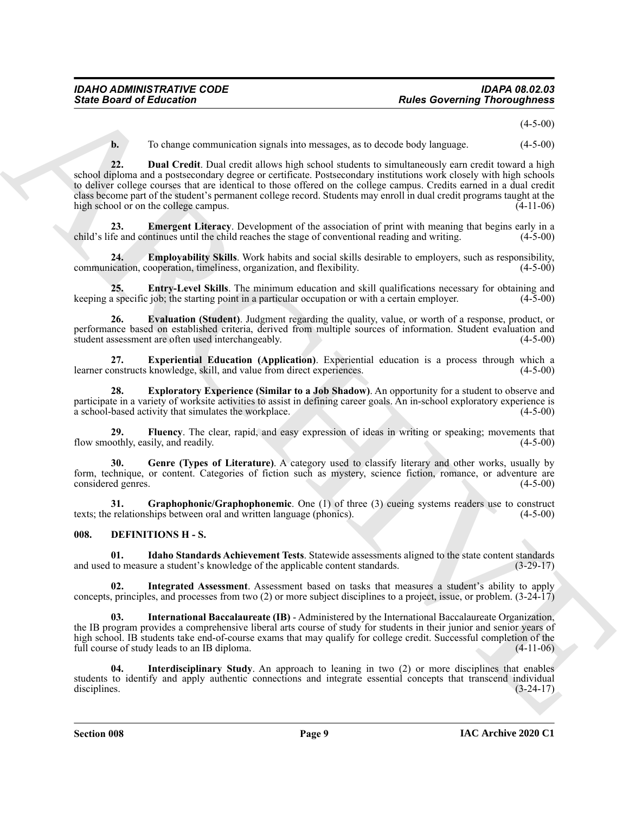$(4 - 5 - 00)$ 

<span id="page-8-1"></span>**b.** To change communication signals into messages, as to decode body language.  $(4-5-00)$ 

**Since Board of Entremotion** control application results at the density language.<br>
A. To change commutation signal time results at the density language. (4.5.40)<br>
and 22.<br>
and 22. But Credit Data Criticis also absorption **22. Dual Credit**. Dual credit allows high school students to simultaneously earn credit toward a high school diploma and a postsecondary degree or certificate. Postsecondary institutions work closely with high schools to deliver college courses that are identical to those offered on the college campus. Credits earned in a dual credit class become part of the student's permanent college record. Students may enroll in dual credit programs taught at the high school or on the college campus. (4-11-06)

<span id="page-8-2"></span>**23. Emergent Literacy**. Development of the association of print with meaning that begins early in a fe and continues until the child reaches the stage of conventional reading and writing. (4-5-00) child's life and continues until the child reaches the stage of conventional reading and writing.

<span id="page-8-3"></span>**24. Employability Skills**. Work habits and social skills desirable to employers, such as responsibility, communication, cooperation, timeliness, organization, and flexibility. (4-5-00)

<span id="page-8-4"></span>**25. Entry-Level Skills**. The minimum education and skill qualifications necessary for obtaining and a specific job; the starting point in a particular occupation or with a certain employer. (4-5-00) keeping a specific job; the starting point in a particular occupation or with a certain employer.

<span id="page-8-5"></span>**26. Evaluation (Student)**. Judgment regarding the quality, value, or worth of a response, product, or performance based on established criteria, derived from multiple sources of information. Student evaluation and student assessment are often used interchangeably. (4-5-00) student assessment are often used interchangeably.

<span id="page-8-6"></span>**27. Experiential Education (Application)**. Experiential education is a process through which a learner constructs knowledge, skill, and value from direct experiences. (4-5-00)

<span id="page-8-7"></span>**28. Exploratory Experience (Similar to a Job Shadow)**. An opportunity for a student to observe and participate in a variety of worksite activities to assist in defining career goals. An in-school exploratory experience is a school-based activity that simulates the workplace. (4-5-00)

<span id="page-8-8"></span>**29.** Fluency. The clear, rapid, and easy expression of ideas in writing or speaking; movements that obthly, easily, and readily. (4-5-00) flow smoothly, easily, and readily.

<span id="page-8-9"></span>**30. Genre (Types of Literature)**. A category used to classify literary and other works, usually by form, technique, or content. Categories of fiction such as mystery, science fiction, romance, or adventure are considered genres. (4-5-00)

<span id="page-8-10"></span>**31.** Graphophonic/Graphophonemic. One (1) of three (3) cueing systems readers use to construct texts; the relationships between oral and written language (phonics). (4-5-00)

#### <span id="page-8-11"></span><span id="page-8-0"></span>**008. DEFINITIONS H - S.**

<span id="page-8-12"></span>**01.** Idaho Standards Achievement Tests. Statewide assessments aligned to the state content standards to measure a student's knowledge of the applicable content standards. (3-29-17) and used to measure a student's knowledge of the applicable content standards.

<span id="page-8-13"></span>**02. Integrated Assessment**. Assessment based on tasks that measures a student's ability to apply concepts, principles, and processes from two (2) or more subject disciplines to a project, issue, or problem. (3-24-17)

<span id="page-8-15"></span>**03. International Baccalaureate (IB)** - Administered by the International Baccalaureate Organization, the IB program provides a comprehensive liberal arts course of study for students in their junior and senior years of high school. IB students take end-of-course exams that may qualify for college credit. Successful completion of the full course of study leads to an IB diploma. (4-11-06)

<span id="page-8-14"></span>**04. Interdisciplinary Study**. An approach to leaning in two (2) or more disciplines that enables students to identify and apply authentic connections and integrate essential concepts that transcend individual disciplines. (3-24-17) disciplines. (3-24-17)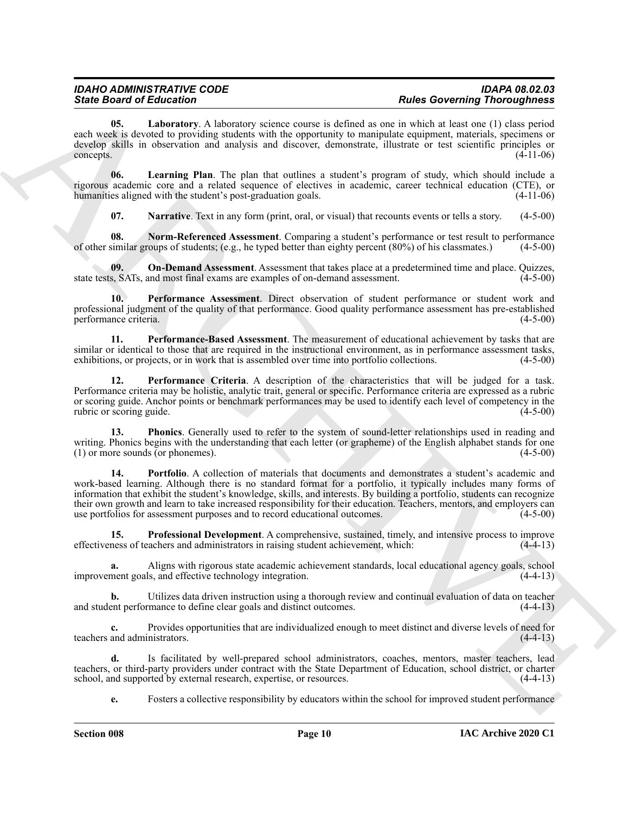<span id="page-9-0"></span>**05. Laboratory**. A laboratory science course is defined as one in which at least one (1) class period each week is devoted to providing students with the opportunity to manipulate equipment, materials, specimens or develop skills in observation and analysis and discover, demonstrate, illustrate or test scientific principles or  $\epsilon$  (4-11-06)  $(4-11-06)$ 

**06. Learning Plan**. The plan that outlines a student's program of study, which should include a rigorous academic core and a related sequence of electives in academic, career technical education (CTE), or humanities aligned with the student's post-graduation goals. (4-11-06)

<span id="page-9-4"></span><span id="page-9-3"></span><span id="page-9-2"></span><span id="page-9-1"></span>**07.** Narrative. Text in any form (print, oral, or visual) that recounts events or tells a story. (4-5-00)

**08.** Norm-Referenced Assessment. Comparing a student's performance or test result to performance similar groups of students; (e.g., he typed better than eighty percent (80%) of his classmates.) (4-5-00) of other similar groups of students; (e.g., he typed better than eighty percent  $(80\%)$  of his classmates.)

**09.** On-Demand Assessment. Assessment that takes place at a predetermined time and place. Quizzes, s, SATs, and most final exams are examples of on-demand assessment. (4-5-00) state tests, SATs, and most final exams are examples of on-demand assessment.

<span id="page-9-5"></span>**10. Performance Assessment**. Direct observation of student performance or student work and professional judgment of the quality of that performance. Good quality performance assessment has pre-established performance criteria. (4-5-00)

<span id="page-9-7"></span>**11. Performance-Based Assessment**. The measurement of educational achievement by tasks that are similar or identical to those that are required in the instructional environment, as in performance assessment tasks, exhibitions, or projects, or in work that is assembled over time into portfolio collections. (4-5-00)

<span id="page-9-6"></span>**12. Performance Criteria**. A description of the characteristics that will be judged for a task. Performance criteria may be holistic, analytic trait, general or specific. Performance criteria are expressed as a rubric or scoring guide. Anchor points or benchmark performances may be used to identify each level of competency in the rubric or scoring guide. (4-5-00)

<span id="page-9-9"></span><span id="page-9-8"></span>**13. Phonics**. Generally used to refer to the system of sound-letter relationships used in reading and writing. Phonics begins with the understanding that each letter (or grapheme) of the English alphabet stands for one (1) or more sounds (or phonemes). (4-5-00)  $(1)$  or more sounds (or phonemes).

Since Brazil et Education 11 a technique course in visita. These Governing Theoretical process and the set of the set of the set of the set of the set of the set of the set of the set of the set of the set of the set of t **14. Portfolio**. A collection of materials that documents and demonstrates a student's academic and work-based learning. Although there is no standard format for a portfolio, it typically includes many forms of information that exhibit the student's knowledge, skills, and interests. By building a portfolio, students can recognize their own growth and learn to take increased responsibility for their education. Teachers, mentors, and employers can use portfolios for assessment purposes and to record educational outcomes. (4-5-00)

<span id="page-9-10"></span>**15. Professional Development**. A comprehensive, sustained, timely, and intensive process to improve effectiveness of teachers and administrators in raising student achievement, which: (4-4-13)

**a.** Aligns with rigorous state academic achievement standards, local educational agency goals, school improvement goals, and effective technology integration. (4-4-13)

**b.** Utilizes data driven instruction using a thorough review and continual evaluation of data on teacher and student performance to define clear goals and distinct outcomes. (4-4-13)

**c.** Provides opportunities that are individualized enough to meet distinct and diverse levels of need for and administrators. (4-4-13) teachers and administrators.

**d.** Is facilitated by well-prepared school administrators, coaches, mentors, master teachers, lead teachers, or third-party providers under contract with the State Department of Education, school district, or charter school, and supported by external research, expertise, or resources. (4-4-13) school, and supported by external research, expertise, or resources.

**e.** Fosters a collective responsibility by educators within the school for improved student performance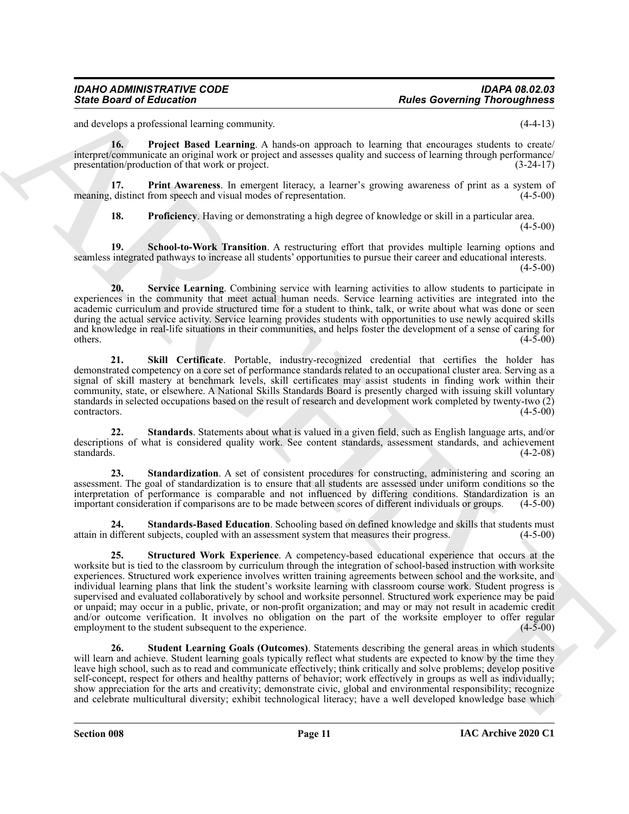<span id="page-10-2"></span>and develops a professional learning community.  $(4-4-13)$ 

**16. Project Based Learning**. A hands-on approach to learning that encourages students to create/ interpret/communicate an original work or project and assesses quality and success of learning through performance/ presentation/production of that work or project. (3-24-17)

**17. Print Awareness**. In emergent literacy, a learner's growing awareness of print as a system of distinct from speech and visual modes of representation. (4-5-00) meaning, distinct from speech and visual modes of representation.

<span id="page-10-4"></span><span id="page-10-3"></span><span id="page-10-1"></span><span id="page-10-0"></span>**18. Proficiency**. Having or demonstrating a high degree of knowledge or skill in a particular area.

 $(4-5-00)$ 

**19. School-to-Work Transition**. A restructuring effort that provides multiple learning options and seamless integrated pathways to increase all students' opportunities to pursue their career and educational interests.  $(4-5-00)$ 

**20. Service Learning**. Combining service with learning activities to allow students to participate in experiences in the community that meet actual human needs. Service learning activities are integrated into the academic curriculum and provide structured time for a student to think, talk, or write about what was done or seen during the actual service activity. Service learning provides students with opportunities to use newly acquired skills and knowledge in real-life situations in their communities, and helps foster the development of a sense of caring for others.  $(4-5-00)$ 

<span id="page-10-5"></span>**21. Skill Certificate**. Portable, industry-recognized credential that certifies the holder has demonstrated competency on a core set of performance standards related to an occupational cluster area. Serving as a signal of skill mastery at benchmark levels, skill certificates may assist students in finding work within their community, state, or elsewhere. A National Skills Standards Board is presently charged with issuing skill voluntary standards in selected occupations based on the result of research and development work completed by twenty-two (2) contractors. (4-5-00)

<span id="page-10-7"></span>**22. Standards**. Statements about what is valued in a given field, such as English language arts, and/or descriptions of what is considered quality work. See content standards, assessment standards, and achievement standards. (4-2-08)

<span id="page-10-6"></span>**23.** Standardization. A set of consistent procedures for constructing, administering and scoring an assessment. The goal of standardization is to ensure that all students are assessed under uniform conditions so the interpretation of performance is comparable and not influenced by differing conditions. Standardization is an important consideration if comparisons are to be made between scores of different individuals or groups. (4-5-00)

<span id="page-10-9"></span><span id="page-10-8"></span>**24. Standards-Based Education**. Schooling based on defined knowledge and skills that students must attain in different subjects, coupled with an assessment system that measures their progress.

Since Board of Education<br>
and Control Samuel Control Samuel Control Samuel Control Samuel Control Samuel Control Samuel Control Samuel Control Samuel Control Samuel Control Samuel Control Samuel Control Samuel Control Sam **25. Structured Work Experience**. A competency-based educational experience that occurs at the worksite but is tied to the classroom by curriculum through the integration of school-based instruction with worksite experiences. Structured work experience involves written training agreements between school and the worksite, and individual learning plans that link the student's worksite learning with classroom course work. Student progress is supervised and evaluated collaboratively by school and worksite personnel. Structured work experience may be paid or unpaid; may occur in a public, private, or non-profit organization; and may or may not result in academic credit and/or outcome verification. It involves no obligation on the part of the worksite employer to offer regular employment to the student subsequent to the experience. (4-5-00) employment to the student subsequent to the experience.

<span id="page-10-10"></span>**26. Student Learning Goals (Outcomes)**. Statements describing the general areas in which students will learn and achieve. Student learning goals typically reflect what students are expected to know by the time they leave high school, such as to read and communicate effectively; think critically and solve problems; develop positive self-concept, respect for others and healthy patterns of behavior; work effectively in groups as well as individually; show appreciation for the arts and creativity; demonstrate civic, global and environmental responsibility; recognize and celebrate multicultural diversity; exhibit technological literacy; have a well developed knowledge base which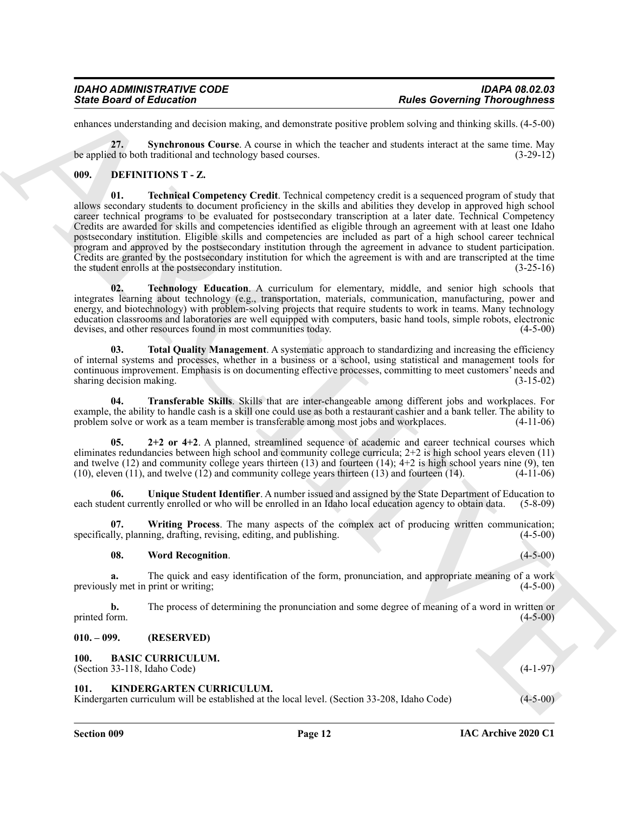enhances understanding and decision making, and demonstrate positive problem solving and thinking skills. (4-5-00)

<span id="page-11-5"></span>**27. Synchronous Course**. A course in which the teacher and students interact at the same time. May be applied to both traditional and technology based courses. (3-29-12)

#### <span id="page-11-8"></span><span id="page-11-6"></span><span id="page-11-0"></span>**009. DEFINITIONS T - Z.**

Since Board of Entrempto Contents and the summary probably probably probably and contenting Theoretical and the summary probably probably probably probably probably and the summary and the summary and the summary and the **01. Technical Competency Credit**. Technical competency credit is a sequenced program of study that allows secondary students to document proficiency in the skills and abilities they develop in approved high school career technical programs to be evaluated for postsecondary transcription at a later date. Technical Competency Credits are awarded for skills and competencies identified as eligible through an agreement with at least one Idaho postsecondary institution. Eligible skills and competencies are included as part of a high school career technical program and approved by the postsecondary institution through the agreement in advance to student participation. Credits are granted by the postsecondary institution for which the agreement is with and are transcripted at the time the student enrolls at the postsecondary institution. (3-25-16)

<span id="page-11-9"></span>**02. Technology Education**. A curriculum for elementary, middle, and senior high schools that integrates learning about technology (e.g., transportation, materials, communication, manufacturing, power and energy, and biotechnology) with problem-solving projects that require students to work in teams. Many technology education classrooms and laboratories are well equipped with computers, basic hand tools, simple robots, electronic devises, and other resources found in most communities today.

<span id="page-11-10"></span>**03.** Total Quality Management. A systematic approach to standardizing and increasing the efficiency of internal systems and processes, whether in a business or a school, using statistical and management tools for continuous improvement. Emphasis is on documenting effective processes, committing to meet customers' needs and sharing decision making.

<span id="page-11-11"></span>**04. Transferable Skills**. Skills that are inter-changeable among different jobs and workplaces. For example, the ability to handle cash is a skill one could use as both a restaurant cashier and a bank teller. The ability to problem solve or work as a team member is transferable among most jobs and workplaces. (4-11-06) problem solve or work as a team member is transferable among most jobs and workplaces.

<span id="page-11-7"></span>**05. 2+2 or 4+2**. A planned, streamlined sequence of academic and career technical courses which eliminates redundancies between high school and community college curricula; 2+2 is high school years eleven (11) and twelve (12) and community college years thirteen (13) and fourteen (14);  $4+2$  is high school years nine (9), ten (10), eleven (11), and twelve (12) and community college years thirteen (13) and fourteen (14). (4-11-0  $(10)$ , eleven  $(11)$ , and twelve  $(12)$  and community college years thirteen  $(13)$  and fourteen  $(14)$ .

<span id="page-11-12"></span>**06.** Unique Student Identifier. A number issued and assigned by the State Department of Education to lent currently enrolled or who will be enrolled in an Idaho local education agency to obtain data. (5-8-09) each student currently enrolled or who will be enrolled in an Idaho local education agency to obtain data.

**07. Writing Process**. The many aspects of the complex act of producing written communication; lly, planning, drafting, revising, editing, and publishing. specifically, planning, drafting, revising, editing, and publishing.

#### <span id="page-11-14"></span><span id="page-11-13"></span>**08. Word Recognition**. (4-5-00)

**a.** The quick and easy identification of the form, pronunciation, and appropriate meaning of a work ly met in print or writing: (4-5-00) previously met in print or writing;

**b.** The process of determining the pronunciation and some degree of meaning of a word in written or printed form. (4-5-00) printed form. (4-5-00)

#### <span id="page-11-1"></span>**010. – 099. (RESERVED)**

#### <span id="page-11-4"></span><span id="page-11-2"></span>**100. BASIC CURRICULUM.**

(Section 33-118, Idaho Code) (4-1-97)

#### <span id="page-11-15"></span><span id="page-11-3"></span>**101. KINDERGARTEN CURRICULUM.**

Kindergarten curriculum will be established at the local level. (Section 33-208, Idaho Code) (4-5-00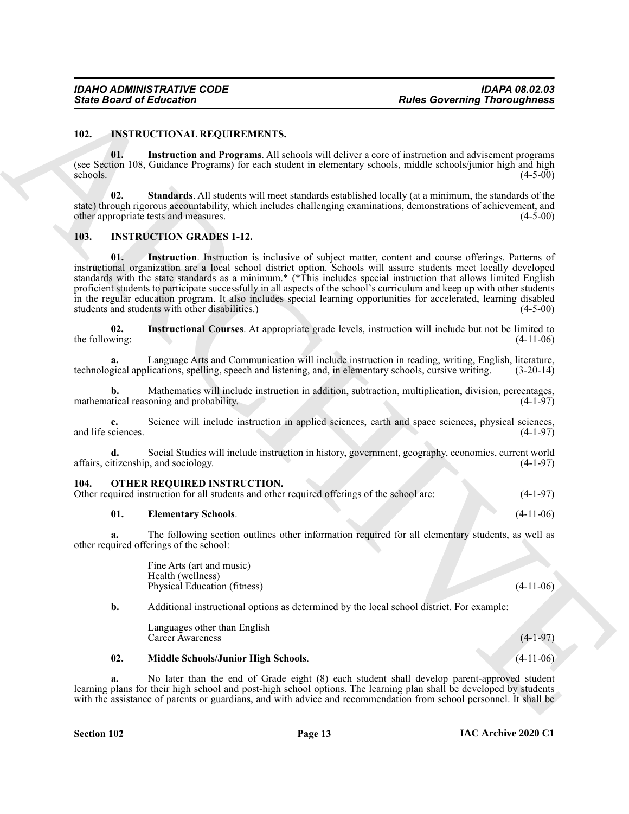#### <span id="page-12-6"></span><span id="page-12-0"></span>**102. INSTRUCTIONAL REQUIREMENTS.**

<span id="page-12-7"></span>**01. Instruction and Programs**. All schools will deliver a core of instruction and advisement programs (see Section 108, Guidance Programs) for each student in elementary schools, middle schools/junior high and high schools. (4-5-00)  $\epsilon$ schools. (4-5-00)

<span id="page-12-8"></span>**02. Standards**. All students will meet standards established locally (at a minimum, the standards of the state) through rigorous accountability, which includes challenging examinations, demonstrations of achievement, and other appropriate tests and measures. (4-5-00)

#### <span id="page-12-4"></span><span id="page-12-3"></span><span id="page-12-1"></span>**103. INSTRUCTION GRADES 1-12.**

Since Board of Enforcement <sup>2</sup><br>
102. Distribution in the Collection of the United States of the United States in the United States of the United States of the United States of the United States of the United States of the **01. Instruction**. Instruction is inclusive of subject matter, content and course offerings. Patterns of instructional organization are a local school district option. Schools will assure students meet locally developed standards with the state standards as a minimum.\* (\*This includes special instruction that allows limited English proficient students to participate successfully in all aspects of the school's curriculum and keep up with other students in the regular education program. It also includes special learning opportunities for accelerated, learning disabled students and students with other disabilities.) (4-5-00)

<span id="page-12-5"></span>**02. Instructional Courses**. At appropriate grade levels, instruction will include but not be limited to the following:

**a.** Language Arts and Communication will include instruction in reading, writing, English, literature, technological applications, spelling, speech and listening, and, in elementary schools, cursive writing. (3-20-14)

**b.** Mathematics will include instruction in addition, subtraction, multiplication, division, percentages, tical reasoning and probability. (4-1-97) mathematical reasoning and probability.

**c.** Science will include instruction in applied sciences, earth and space sciences, physical sciences, and life sciences.

**d.** Social Studies will include instruction in history, government, geography, economics, current world affairs, citizenship, and sociology. (4-1-97)

#### <span id="page-12-9"></span><span id="page-12-2"></span>**104. OTHER REQUIRED INSTRUCTION.**

#### <span id="page-12-10"></span>**01. Elementary Schools**. (4-11-06)

**a.** The following section outlines other information required for all elementary students, as well as other required offerings of the school:

> Fine Arts (art and music) Health (wellness) Physical Education (fitness) (4-11-06)

**b.** Additional instructional options as determined by the local school district. For example:

<span id="page-12-11"></span>Languages other than English Career Awareness (4-1-97)

#### **02. Middle Schools/Junior High Schools**. (4-11-06)

**a.** No later than the end of Grade eight (8) each student shall develop parent-approved student learning plans for their high school and post-high school options. The learning plan shall be developed by students with the assistance of parents or guardians, and with advice and recommendation from school personnel. It shall be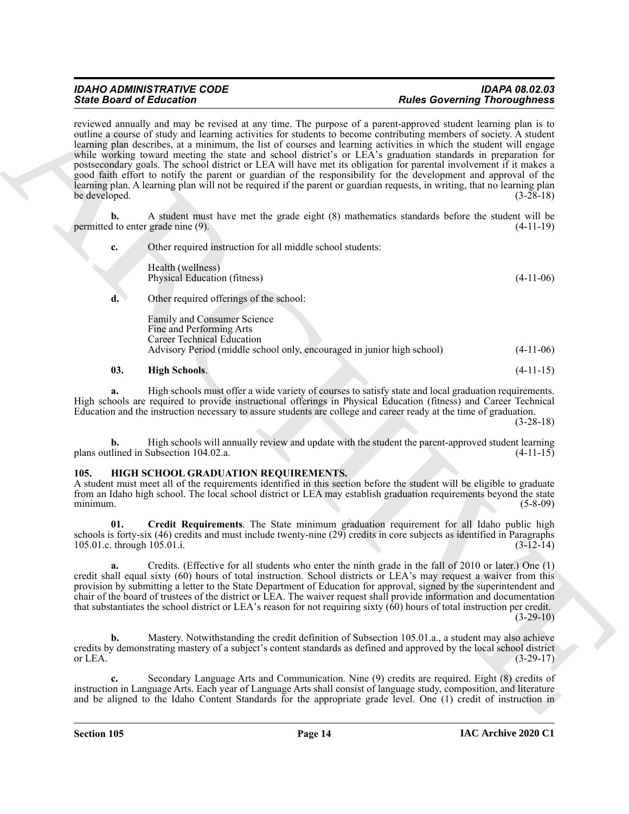Sink Dealer of Editorial on the United States and the United States and the United States and the United States and the United States and the United States and the United States and the United States and the United States reviewed annually and may be revised at any time. The purpose of a parent-approved student learning plan is to outline a course of study and learning activities for students to become contributing members of society. A student learning plan describes, at a minimum, the list of courses and learning activities in which the student will engage while working toward meeting the state and school district's or LEA's graduation standards in preparation for postsecondary goals. The school district or LEA will have met its obligation for parental involvement if it makes a good faith effort to notify the parent or guardian of the responsibility for the development and approval of the learning plan. A learning plan will not be required if the parent or guardian requests, in writing, that no learning plan be developed. (3-28-18)

**b.** A student must have met the grade eight (8) mathematics standards before the student will be d to enter grade nine (9). (4-11-19) permitted to enter grade nine (9).

**c.** Other required instruction for all middle school students: Health (wellness) Physical Education (fitness) (4-11-06) **d.** Other required offerings of the school:

Family and Consumer Science Fine and Performing Arts Career Technical Education Advisory Period (middle school only, encouraged in junior high school) (4-11-06)

#### <span id="page-13-6"></span>**03. High Schools**. (4-11-15)

**a.** High schools must offer a wide variety of courses to satisfy state and local graduation requirements. High schools are required to provide instructional offerings in Physical Education (fitness) and Career Technical Education and the instruction necessary to assure students are college and career ready at the time of graduation.

(3-28-18)

**b.** High schools will annually review and update with the student the parent-approved student learning tlined in Subsection 104.02.a. (4-11-15) plans outlined in Subsection 104.02.a.

#### <span id="page-13-1"></span><span id="page-13-0"></span>**105. HIGH SCHOOL GRADUATION REQUIREMENTS.**

A student must meet all of the requirements identified in this section before the student will be eligible to graduate from an Idaho high school. The local school district or LEA may establish graduation requirements beyond the state minimum. (5-8-09)

<span id="page-13-2"></span>**01. Credit Requirements**. The State minimum graduation requirement for all Idaho public high schools is forty-six (46) credits and must include twenty-nine (29) credits in core subjects as identified in Paragraphs 105.01.c. through 105.01.i. (3-12-14) 105.01.c. through 105.01.i.

<span id="page-13-3"></span>**a.** Credits. (Effective for all students who enter the ninth grade in the fall of 2010 or later.) One (1) credit shall equal sixty (60) hours of total instruction. School districts or LEA's may request a waiver from this provision by submitting a letter to the State Department of Education for approval, signed by the superintendent and chair of the board of trustees of the district or LEA. The waiver request shall provide information and documentation that substantiates the school district or LEA's reason for not requiring sixty (60) hours of total instruction per credit.  $(3-29-10)$ 

<span id="page-13-4"></span>**b.** Mastery. Notwithstanding the credit definition of Subsection 105.01.a., a student may also achieve credits by demonstrating mastery of a subject's content standards as defined and approved by the local school district or LEA.  $(3-29-17)$ 

<span id="page-13-5"></span>**c.** Secondary Language Arts and Communication. Nine (9) credits are required. Eight (8) credits of instruction in Language Arts. Each year of Language Arts shall consist of language study, composition, and literature and be aligned to the Idaho Content Standards for the appropriate grade level. One (1) credit of instruction in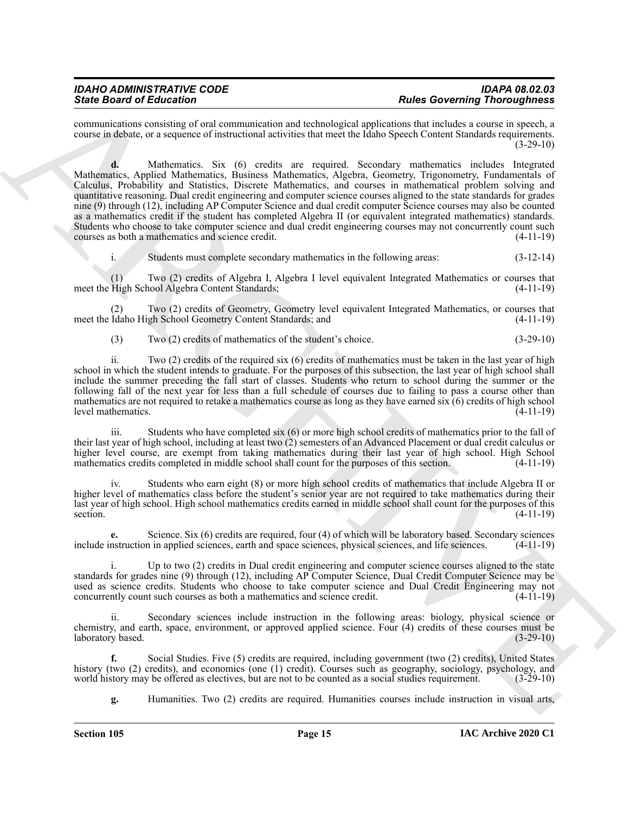# *State Board of Education Rules Governing Thoroughness*

<span id="page-14-1"></span>communications consisting of oral communication and technological applications that includes a course in speech, a course in debate, or a sequence of instructional activities that meet the Idaho Speech Content Standards requirements.  $(3-29-10)$ 

Sink Board of Editorial one of the material continues of the state Governing Results and the state of the state of the state of the state of the state of the state of the state of the state of the state of the state of th **d.** Mathematics. Six (6) credits are required. Secondary mathematics includes Integrated Mathematics, Applied Mathematics, Business Mathematics, Algebra, Geometry, Trigonometry, Fundamentals of Calculus, Probability and Statistics, Discrete Mathematics, and courses in mathematical problem solving and quantitative reasoning. Dual credit engineering and computer science courses aligned to the state standards for grades nine (9) through (12), including AP Computer Science and dual credit computer Science courses may also be counted as a mathematics credit if the student has completed Algebra II (or equivalent integrated mathematics) standards. Students who choose to take computer science and dual credit engineering courses may not concurrently count such courses as both a mathematics and science credit. (4-11-19) courses as both a mathematics and science credit.

i. Students must complete secondary mathematics in the following areas: (3-12-14)

(1) Two (2) credits of Algebra I, Algebra I level equivalent Integrated Mathematics or courses that meet the High School Algebra Content Standards;

(2) Two (2) credits of Geometry, Geometry level equivalent Integrated Mathematics, or courses that meet the Idaho High School Geometry Content Standards; and (4-11-19)

(3) Two (2) credits of mathematics of the student's choice. (3-29-10)

ii. Two (2) credits of the required six (6) credits of mathematics must be taken in the last year of high school in which the student intends to graduate. For the purposes of this subsection, the last year of high school shall include the summer preceding the fall start of classes. Students who return to school during the summer or the following fall of the next year for less than a full schedule of courses due to failing to pass a course other than mathematics are not required to retake a mathematics course as long as they have earned six (6) credits of high school level mathematics. (4-11-19)

iii. Students who have completed six (6) or more high school credits of mathematics prior to the fall of their last year of high school, including at least two (2) semesters of an Advanced Placement or dual credit calculus or higher level course, are exempt from taking mathematics during their last year of high school. High School mathematics credits completed in middle school shall count for the purposes of this section. (4-11-19)

iv. Students who earn eight (8) or more high school credits of mathematics that include Algebra II or higher level of mathematics class before the student's senior year are not required to take mathematics during their last year of high school. High school mathematics credits earned in middle school shall count for the purposes of this section.  $(4-11-19)$ 

<span id="page-14-2"></span>**e.** Science. Six (6) credits are required, four (4) of which will be laboratory based. Secondary sciences include instruction in applied sciences, earth and space sciences, physical sciences, and life sciences. (4-11-19)

i. Up to two (2) credits in Dual credit engineering and computer science courses aligned to the state standards for grades nine (9) through (12), including AP Computer Science, Dual Credit Computer Science may be used as science credits. Students who choose to take computer science and Dual Credit Engineering may not concurrently count such courses as both a mathematics and science credit. (4-11-19)

ii. Secondary sciences include instruction in the following areas: biology, physical science or chemistry, and earth, space, environment, or approved applied science. Four (4) credits of these courses must be laboratory based. (3-29-10) laboratory based.

**f.** Social Studies. Five (5) credits are required, including government (two (2) credits), United States history (two (2) credits), and economics (one (1) credit). Courses such as geography, sociology, psychology, and world history may be offered as electives, but are not to be counted as a social studies requirement. (3-29-10)

<span id="page-14-3"></span><span id="page-14-0"></span>**g.** Humanities. Two (2) credits are required. Humanities courses include instruction in visual arts,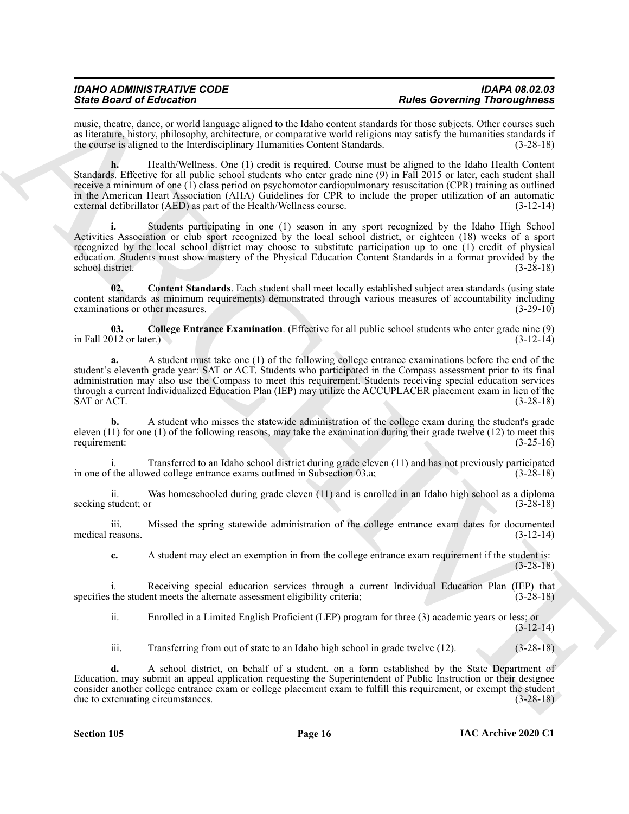<span id="page-15-2"></span>music, theatre, dance, or world language aligned to the Idaho content standards for those subjects. Other courses such as literature, history, philosophy, architecture, or comparative world religions may satisfy the humanities standards if the course is aligned to the Interdisciplinary Humanities Content Standards. (3-28-18)

Sink Book of Education of the matter state and the interest of the state Governing Research in the state of the state of the state of the state of the state of the state of the state of the state of the state of the state **h.** Health/Wellness. One (1) credit is required. Course must be aligned to the Idaho Health Content Standards. Effective for all public school students who enter grade nine (9) in Fall 2015 or later, each student shall receive a minimum of one (1) class period on psychomotor cardiopulmonary resuscitation (CPR) training as outlined in the American Heart Association (AHA) Guidelines for CPR to include the proper utilization of an automatic external defibrillator (AED) as part of the Health/Wellness course. (3-12-14)

**i.** Students participating in one (1) season in any sport recognized by the Idaho High School Activities Association or club sport recognized by the local school district, or eighteen (18) weeks of a sport recognized by the local school district may choose to substitute participation up to one (1) credit of physical education. Students must show mastery of the Physical Education Content Standards in a format provided by the school district. (3-28-18)

<span id="page-15-1"></span>**02. Content Standards**. Each student shall meet locally established subject area standards (using state content standards as minimum requirements) demonstrated through various measures of accountability including examinations or other measures. (3-29-10)

<span id="page-15-0"></span>**03.** College Entrance Examination. (Effective for all public school students who enter grade nine (9) 012 or later.) in Fall 2012 or later.)

**a.** A student must take one (1) of the following college entrance examinations before the end of the student's eleventh grade year: SAT or ACT. Students who participated in the Compass assessment prior to its final administration may also use the Compass to meet this requirement. Students receiving special education services through a current Individualized Education Plan (IEP) may utilize the ACCUPLACER placement exam in lieu of the  $SAT$  or ACT.  $(3-28-18)$ 

**b.** A student who misses the statewide administration of the college exam during the student's grade eleven (11) for one (1) of the following reasons, may take the examination during their grade twelve (12) to meet this requirement: (3-25-16)

i. Transferred to an Idaho school district during grade eleven (11) and has not previously participated<br>
(3-28-18) (3-28-18) in one of the allowed college entrance exams outlined in Subsection 03.a;

ii. Was homeschooled during grade eleven (11) and is enrolled in an Idaho high school as a diploma seeking student; or (3-28-18)

iii. Missed the spring statewide administration of the college entrance exam dates for documented medical reasons. (3-12-14)

**c.** A student may elect an exemption in from the college entrance exam requirement if the student is: (3-28-18)

i. Receiving special education services through a current Individual Education Plan (IEP) that specifies the student meets the alternate assessment eligibility criteria; (3-28-18)

ii. Enrolled in a Limited English Proficient (LEP) program for three (3) academic years or less; or  $(3-12-14)$ 

iii. Transferring from out of state to an Idaho high school in grade twelve (12). (3-28-18)

**d.** A school district, on behalf of a student, on a form established by the State Department of Education, may submit an appeal application requesting the Superintendent of Public Instruction or their designee consider another college entrance exam or college placement exam to fulfill this requirement, or exempt the student due to extenuating circumstances. (3-28-18) due to extenuating circumstances.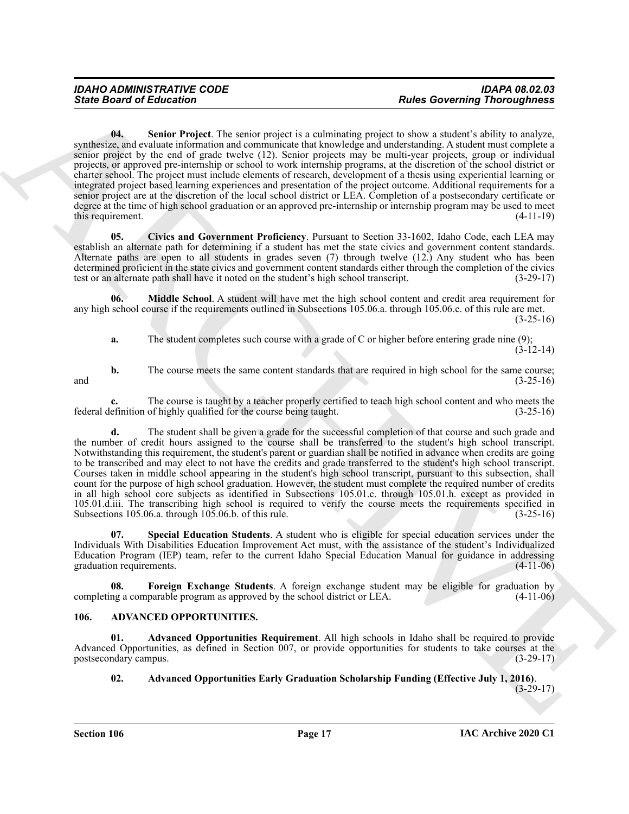Since Board of Entreprene The section project is a columning project about a find of a column project speed of a column state of a column state of a column state of a column state of a column state of a column state of a **04. Senior Project**. The senior project is a culminating project to show a student's ability to analyze, synthesize, and evaluate information and communicate that knowledge and understanding. A student must complete a senior project by the end of grade twelve (12). Senior projects may be multi-year projects, group or individual projects, or approved pre-internship or school to work internship programs, at the discretion of the school district or charter school. The project must include elements of research, development of a thesis using experiential learning or integrated project based learning experiences and presentation of the project outcome. Additional requirements for a senior project are at the discretion of the local school district or LEA. Completion of a postsecondary certificate or degree at the time of high school graduation or an approved pre-internship or internship program may be used to meet this requirement. (4-11-19)

<span id="page-16-7"></span><span id="page-16-4"></span>**05. Civics and Government Proficiency**. Pursuant to Section 33-1602, Idaho Code, each LEA may establish an alternate path for determining if a student has met the state civics and government content standards. Alternate paths are open to all students in grades seven (7) through twelve (12.) Any student who has been determined proficient in the state civics and government content standards either through the completion of the civics test or an alternate path shall have it noted on the student's high school transcript. (3-29-17)

**06. Middle School**. A student will have met the high school content and credit area requirement for any high school course if the requirements outlined in Subsections 105.06.a. through 105.06.c. of this rule are met. (3-25-16)

<span id="page-16-6"></span>**a.** The student completes such course with a grade of C or higher before entering grade nine (9);  $(3-12-14)$ 

**b.** The course meets the same content standards that are required in high school for the same course;  $(3-25-16)$ and  $(3-25-16)$ 

**c.** The course is taught by a teacher properly certified to teach high school content and who meets the efinition of highly qualified for the course being taught. (3-25-16) federal definition of highly qualified for the course being taught.

**d.** The student shall be given a grade for the successful completion of that course and such grade and the number of credit hours assigned to the course shall be transferred to the student's high school transcript. Notwithstanding this requirement, the student's parent or guardian shall be notified in advance when credits are going to be transcribed and may elect to not have the credits and grade transferred to the student's high school transcript. Courses taken in middle school appearing in the student's high school transcript, pursuant to this subsection, shall count for the purpose of high school graduation. However, the student must complete the required number of credits in all high school core subjects as identified in Subsections 105.01.c. through 105.01.h. except as provided in 105.01.d.iii. The transcribing high school is required to verify the course meets the requirements specified in Subsections 105.06.a. through 105.06.b. of this rule. (3-25-16) (3-25-16)

<span id="page-16-8"></span>**07. Special Education Students**. A student who is eligible for special education services under the Individuals With Disabilities Education Improvement Act must, with the assistance of the student's Individualized Education Program (IEP) team, refer to the current Idaho Special Education Manual for guidance in addressing graduation requirements. (4-11-06)

<span id="page-16-5"></span>**Foreign Exchange Students**. A foreign exchange student may be eligible for graduation by parable program as approved by the school district or LEA. (4-11-06) completing a comparable program as approved by the school district or LEA.

#### <span id="page-16-1"></span><span id="page-16-0"></span>**106. ADVANCED OPPORTUNITIES.**

**01. Advanced Opportunities Requirement**. All high schools in Idaho shall be required to provide Advanced Opportunities, as defined in Section 007, or provide opportunities for students to take courses at the postsecondary campus. (3-29-17)

### <span id="page-16-3"></span><span id="page-16-2"></span>**02. Advanced Opportunities Early Graduation Scholarship Funding (Effective July 1, 2016)**.

 $(3-29-17)$ 

**Section 106 Page 17**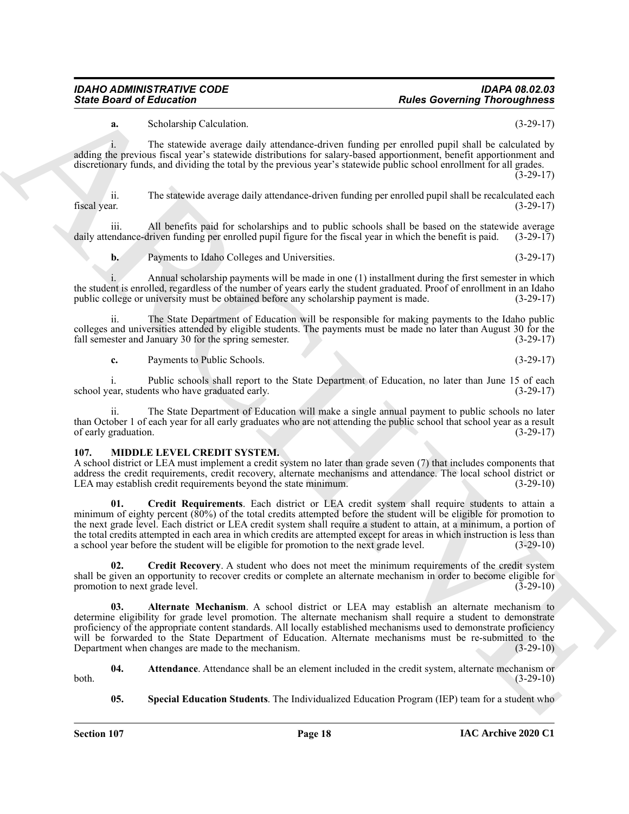**a.** Scholarship Calculation. (3-29-17)

i. The statewide average daily attendance-driven funding per enrolled pupil shall be calculated by adding the previous fiscal year's statewide distributions for salary-based apportionment, benefit apportionment and discretionary funds, and dividing the total by the previous year's statewide public school enrollment for all grades.

 $(3-29-17)$ 

ii. The statewide average daily attendance-driven funding per enrolled pupil shall be recalculated each fiscal year. (3-29-17)

iii. All benefits paid for scholarships and to public schools shall be based on the statewide average endance-driven funding per enrolled pupil figure for the fiscal year in which the benefit is paid. (3-29-17) daily attendance-driven funding per enrolled pupil figure for the fiscal year in which the benefit is paid.

**b.** Payments to Idaho Colleges and Universities. (3-29-17)

i. Annual scholarship payments will be made in one (1) installment during the first semester in which the student is enrolled, regardless of the number of years early the student graduated. Proof of enrollment in an Idaho public college or university must be obtained before any scholarship payment is made. (3-29-17) public college or university must be obtained before any scholarship payment is made.

ii. The State Department of Education will be responsible for making payments to the Idaho public colleges and universities attended by eligible students. The payments must be made no later than August 30 for the fall semester and January 30 for the spring semester. (3-29-17) fall semester and January 30 for the spring semester.

**c.** Payments to Public Schools. (3-29-17)

i. Public schools shall report to the State Department of Education, no later than June 15 of each ear, students who have graduated early. (3-29-17) school year, students who have graduated early.

The State Department of Education will make a single annual payment to public schools no later than October 1 of each year for all early graduates who are not attending the public school that school year as a result of early graduation. (3-29-17) of early graduation.

#### <span id="page-17-1"></span><span id="page-17-0"></span>**107. MIDDLE LEVEL CREDIT SYSTEM.**

<span id="page-17-5"></span>A school district or LEA must implement a credit system no later than grade seven (7) that includes components that address the credit requirements, credit recovery, alternate mechanisms and attendance. The local school district or LEA may establish credit requirements beyond the state minimum. (3-29-10)

Since Board of Ecliptoires Contents.<br>
Since Board of Ecliptoires Contents.<br>
Since Board of Ecliptoires Columbus,<br>
Since Board of Ecliptoires and procedures doints the distribution of the Since Ecliptoires and the Columbus **01. Credit Requirements**. Each district or LEA credit system shall require students to attain a minimum of eighty percent (80%) of the total credits attempted before the student will be eligible for promotion to the next grade level. Each district or LEA credit system shall require a student to attain, at a minimum, a portion of the total credits attempted in each area in which credits are attempted except for areas in which instruction is less than a school year before the student will be eligible for promotion to the next grade level. (3-29-10)

<span id="page-17-4"></span>**02. Credit Recovery**. A student who does not meet the minimum requirements of the credit system shall be given an opportunity to recover credits or complete an alternate mechanism in order to become eligible for promotion to next grade level. (3-29-10) promotion to next grade level.

<span id="page-17-2"></span>**03. Alternate Mechanism**. A school district or LEA may establish an alternate mechanism to determine eligibility for grade level promotion. The alternate mechanism shall require a student to demonstrate proficiency of the appropriate content standards. All locally established mechanisms used to demonstrate proficiency will be forwarded to the State Department of Education. Alternate mechanisms must be re-submitted to the Department when changes are made to the mechanism. (3-29-10)

**04.** Attendance. Attendance shall be an element included in the credit system, alternate mechanism or  $(3-29-10)$ both. (3-29-10)

<span id="page-17-6"></span><span id="page-17-3"></span>**05. Special Education Students**. The Individualized Education Program (IEP) team for a student who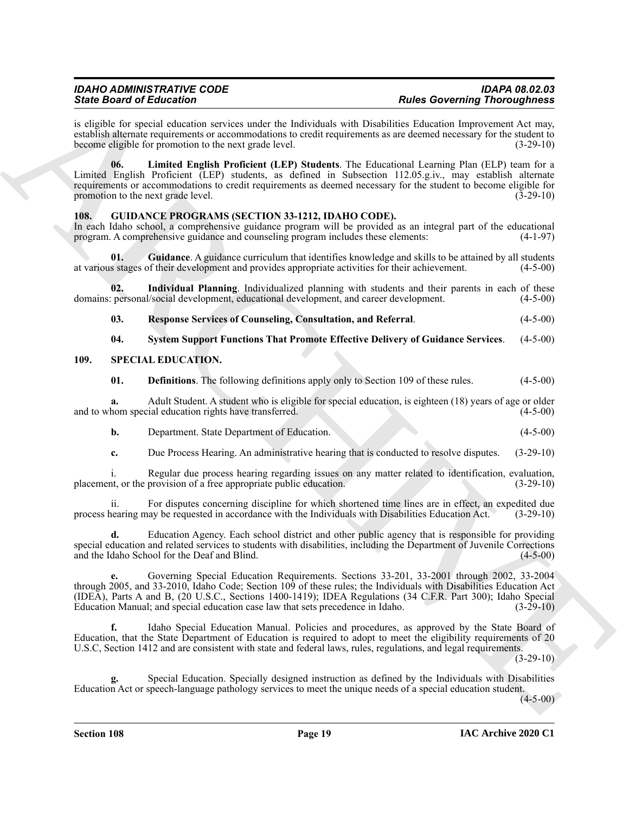is eligible for special education services under the Individuals with Disabilities Education Improvement Act may, establish alternate requirements or accommodations to credit requirements as are deemed necessary for the student to become eligible for promotion to the next grade level. (3-29-10)

<span id="page-18-7"></span>**06. Limited English Proficient (LEP) Students**. The Educational Learning Plan (ELP) team for a Limited English Proficient (LEP) students, as defined in Subsection 112.05.g.iv., may establish alternate requirements or accommodations to credit requirements as deemed necessary for the student to become eligible for promotion to the next grade level.  $(\overline{3}-29-10)$ 

#### <span id="page-18-2"></span><span id="page-18-0"></span>**108. GUIDANCE PROGRAMS (SECTION 33-1212, IDAHO CODE).**

In each Idaho school, a comprehensive guidance program will be provided as an integral part of the educational program. A comprehensive guidance and counseling program includes these elements: (4-1-97) program. A comprehensive guidance and counseling program includes these elements:

<span id="page-18-3"></span>**01. Guidance**. A guidance curriculum that identifies knowledge and skills to be attained by all students at various stages of their development and provides appropriate activities for their achievement. (4-5-00)

**02.** Individual Planning. Individualized planning with students and their parents in each of these personal/social development, educational development, and career development. (4-5-00) domains: personal/social development, educational development, and career development.

<span id="page-18-5"></span><span id="page-18-4"></span>**03. Response Services of Counseling, Consultation, and Referral**. (4-5-00)

#### <span id="page-18-8"></span><span id="page-18-6"></span>**04. System Support Functions That Promote Effective Delivery of Guidance Services**. (4-5-00)

#### <span id="page-18-1"></span>**109. SPECIAL EDUCATION.**

<span id="page-18-10"></span><span id="page-18-9"></span>**01. Definitions**. The following definitions apply only to Section 109 of these rules. (4-5-00)

**a.** Adult Student. A student who is eligible for special education, is eighteen (18) years of age or older hom special education rights have transferred. (4-5-00) and to whom special education rights have transferred.

<span id="page-18-11"></span>

|  | Department. State Department of Education. | $(4-5-00)$ |
|--|--------------------------------------------|------------|
|--|--------------------------------------------|------------|

<span id="page-18-12"></span>**c.** Due Process Hearing. An administrative hearing that is conducted to resolve disputes. (3-29-10)

i. Regular due process hearing regarding issues on any matter related to identification, evaluation, et, or the provision of a free appropriate public education. (3-29-10) placement, or the provision of a free appropriate public education.

ii. For disputes concerning discipline for which shortened time lines are in effect, an expedited due process hearing may be requested in accordance with the Individuals with Disabilities Education Act. (3-29-10)

<span id="page-18-14"></span><span id="page-18-13"></span>**d.** Education Agency. Each school district and other public agency that is responsible for providing special education and related services to students with disabilities, including the Department of Juvenile Corrections and the Idaho School for the Deaf and Blind. (4-5-00)

Sink Book of Editorio and the spin state individual scale Governing Research Photospherical scales and the spin state of the spin state of the spin state of the spin state of the spin state of the spin state of the spin s **e.** Governing Special Education Requirements. Sections 33-201, 33-2001 through 2002, 33-2004 through 2005, and 33-2010, Idaho Code; Section 109 of these rules; the Individuals with Disabilities Education Act (IDEA), Parts A and B, (20 U.S.C., Sections 1400-1419); IDEA Regulations (34 C.F.R. Part 300); Idaho Special Education Manual; and special education case law that sets precedence in Idaho. (3-29-10)

<span id="page-18-15"></span>**f.** Idaho Special Education Manual. Policies and procedures, as approved by the State Board of Education, that the State Department of Education is required to adopt to meet the eligibility requirements of 20 U.S.C, Section 1412 and are consistent with state and federal laws, rules, regulations, and legal requirements.

(3-29-10)

<span id="page-18-16"></span>**g.** Special Education. Specially designed instruction as defined by the Individuals with Disabilities Education Act or speech-language pathology services to meet the unique needs of a special education student.

 $(4-5-00)$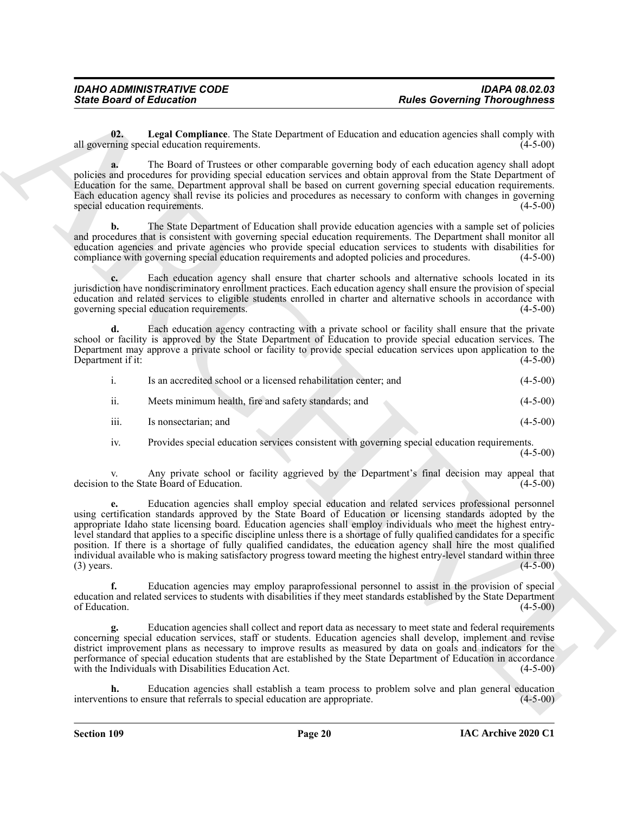<span id="page-19-0"></span>**02.** Legal Compliance. The State Department of Education and education agencies shall comply with ning special education requirements. (4-5-00) all governing special education requirements.

**a.** The Board of Trustees or other comparable governing body of each education agency shall adopt policies and procedures for providing special education services and obtain approval from the State Department of Education for the same. Department approval shall be based on current governing special education requirements. Each education agency shall revise its policies and procedures as necessary to conform with changes in governing special education requirements. (4-5-00)

**b.** The State Department of Education shall provide education agencies with a sample set of policies and procedures that is consistent with governing special education requirements. The Department shall monitor all education agencies and private agencies who provide special education services to students with disabilities for compliance with governing special education requirements and adopted policies and procedures. (4-5-00)

**c.** Each education agency shall ensure that charter schools and alternative schools located in its jurisdiction have nondiscriminatory enrollment practices. Each education agency shall ensure the provision of special education and related services to eligible students enrolled in charter and alternative schools in accordance with governing special education requirements. (4-5-00)

**d.** Each education agency contracting with a private school or facility shall ensure that the private school or facility is approved by the State Department of Education to provide special education services. The Department may approve a private school or facility to provide special education services upon application to the Department if it: (4-5-00) Department if it:

|      | Is an accredited school or a licensed rehabilitation center; and | $(4-5-00)$ |
|------|------------------------------------------------------------------|------------|
| ii.  | Meets minimum health, fire and safety standards; and             | $(4-5-00)$ |
| iii. | Is nonsectarian; and                                             | $(4-5-00)$ |

iv. Provides special education services consistent with governing special education requirements.

(4-5-00)

v. Any private school or facility aggrieved by the Department's final decision may appeal that decision to the State Board of Education.

Since Board of Entremotive state. The State Department of Entrepreneutries and convenience state of the State Person of the State Person of the State Person of the State Person of the State Person of the State Person of t **e.** Education agencies shall employ special education and related services professional personnel using certification standards approved by the State Board of Education or licensing standards adopted by the appropriate Idaho state licensing board. Education agencies shall employ individuals who meet the highest entrylevel standard that applies to a specific discipline unless there is a shortage of fully qualified candidates for a specific position. If there is a shortage of fully qualified candidates, the education agency shall hire the most qualified individual available who is making satisfactory progress toward meeting the highest entry-level standard within three (3) years.  $(4-5-00)$ 

**f.** Education agencies may employ paraprofessional personnel to assist in the provision of special education and related services to students with disabilities if they meet standards established by the State Department of Education. (4-5-00)

**g.** Education agencies shall collect and report data as necessary to meet state and federal requirements concerning special education services, staff or students. Education agencies shall develop, implement and revise district improvement plans as necessary to improve results as measured by data on goals and indicators for the performance of special education students that are established by the State Department of Education in accordance with the Individuals with Disabilities Education Act. (4-5-00)

Education agencies shall establish a team process to problem solve and plan general education numeration sure that referrals to special education are appropriate.  $(4-5-00)$ interventions to ensure that referrals to special education are appropriate.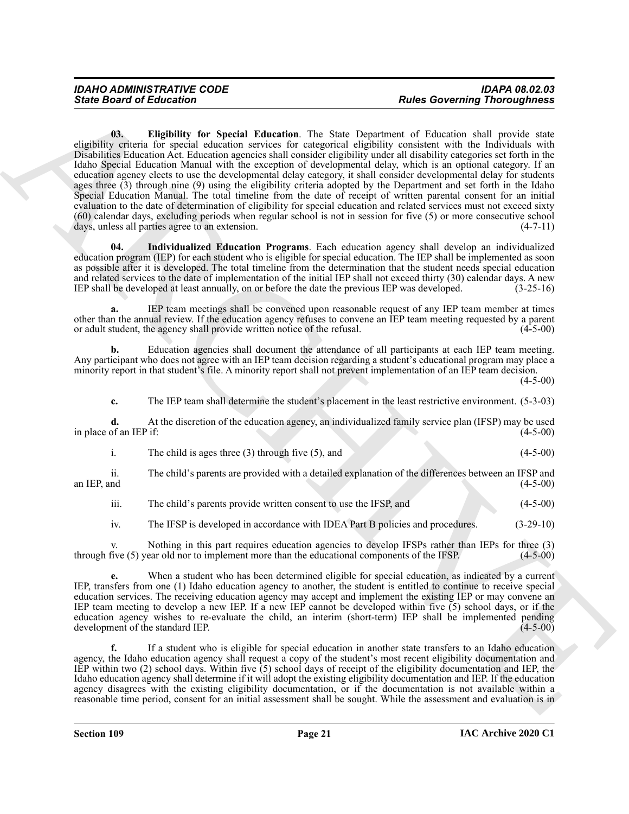Since Board of Eclipticity in special Education. The Star Depends of the since in the contribution of the since the since the since the since the since the since the since the since the since the since the since the since **03. Eligibility for Special Education**. The State Department of Education shall provide state eligibility criteria for special education services for categorical eligibility consistent with the Individuals with Disabilities Education Act. Education agencies shall consider eligibility under all disability categories set forth in the Idaho Special Education Manual with the exception of developmental delay, which is an optional category. If an education agency elects to use the developmental delay category, it shall consider developmental delay for students ages three (3) through nine (9) using the eligibility criteria adopted by the Department and set forth in the Idaho Special Education Manual. The total timeline from the date of receipt of written parental consent for an initial evaluation to the date of determination of eligibility for special education and related services must not exceed sixty (60) calendar days, excluding periods when regular school is not in session for five (5) or more consecutive school days, unless all parties agree to an extension. (4-7-11)

<span id="page-20-1"></span><span id="page-20-0"></span>**04. Individualized Education Programs**. Each education agency shall develop an individualized education program (IEP) for each student who is eligible for special education. The IEP shall be implemented as soon as possible after it is developed. The total timeline from the determination that the student needs special education and related services to the date of implementation of the initial IEP shall not exceed thirty (30) calendar days. A new<br>IEP shall be developed at least annually, on or before the date the previous IEP was developed. (3-25-IEP shall be developed at least annually, on or before the date the previous IEP was developed.

**a.** IEP team meetings shall be convened upon reasonable request of any IEP team member at times other than the annual review. If the education agency refuses to convene an IEP team meeting requested by a parent or adult student, the agency shall provide written notice of the refusal. (4-5-00) or adult student, the agency shall provide written notice of the refusal.

**b.** Education agencies shall document the attendance of all participants at each IEP team meeting. Any participant who does not agree with an IEP team decision regarding a student's educational program may place a minority report in that student's file. A minority report shall not prevent implementation of an IEP team decision.

 $(4 - 5 - 00)$ 

**c.** The IEP team shall determine the student's placement in the least restrictive environment. (5-3-03)

**d.** At the discretion of the education agency, an individualized family service plan (IFSP) may be used of an IEP if: (4-5-00) in place of an IEP if:

| The child is ages three $(3)$ through five $(5)$ , and | $(4-5-00)$ |
|--------------------------------------------------------|------------|
|--------------------------------------------------------|------------|

ii. The child's parents are provided with a detailed explanation of the differences between an IFSP and an IEP, and  $(4-5-00)$ 

iii. The child's parents provide written consent to use the IFSP, and (4-5-00)

iv. The IFSP is developed in accordance with IDEA Part B policies and procedures. (3-29-10)

v. Nothing in this part requires education agencies to develop IFSPs rather than IEPs for three (3) through five (5) year old nor to implement more than the educational components of the IFSP. (4-5-00)

When a student who has been determined eligible for special education, as indicated by a current IEP, transfers from one (1) Idaho education agency to another, the student is entitled to continue to receive special education services. The receiving education agency may accept and implement the existing IEP or may convene an IEP team meeting to develop a new IEP. If a new IEP cannot be developed within five (5) school days, or if the education agency wishes to re-evaluate the child, an interim (short-term) IEP shall be implemented pending development of the standard IEP. development of the standard IEP.

**f.** If a student who is eligible for special education in another state transfers to an Idaho education agency, the Idaho education agency shall request a copy of the student's most recent eligibility documentation and IEP within two (2) school days. Within five (5) school days of receipt of the eligibility documentation and IEP, the Idaho education agency shall determine if it will adopt the existing eligibility documentation and IEP. If the education agency disagrees with the existing eligibility documentation, or if the documentation is not available within a reasonable time period, consent for an initial assessment shall be sought. While the assessment and evaluation is in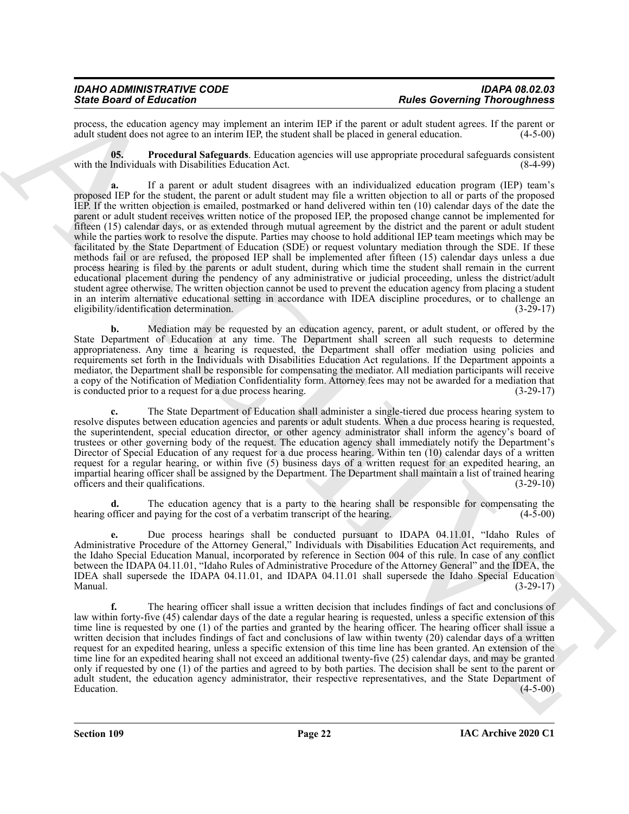| <b>IDAHO ADMINISTRATIVE CODE</b> | <b>IDAPA 08.02.03</b>               |
|----------------------------------|-------------------------------------|
| <b>State Board of Education</b>  | <b>Rules Governing Thoroughness</b> |

process, the education agency may implement an interim IEP if the parent or adult student agrees. If the parent or adult student does not agree to an interim IEP, the student shall be placed in general education. (4-5-00) adult student does not agree to an interim IEP, the student shall be placed in general education.

<span id="page-21-0"></span>**05. Procedural Safeguards**. Education agencies will use appropriate procedural safeguards consistent with the Individuals with Disabilities Education Act.

Since Book of Editorial on the main state and the state of the state of the state of the state of the state of the state of the state of the state of the state of the state of the state of the state of the state of the st **a.** If a parent or adult student disagrees with an individualized education program (IEP) team's proposed IEP for the student, the parent or adult student may file a written objection to all or parts of the proposed IEP. If the written objection is emailed, postmarked or hand delivered within ten (10) calendar days of the date the parent or adult student receives written notice of the proposed IEP, the proposed change cannot be implemented for fifteen (15) calendar days, or as extended through mutual agreement by the district and the parent or adult student while the parties work to resolve the dispute. Parties may choose to hold additional IEP team meetings which may be facilitated by the State Department of Education (SDE) or request voluntary mediation through the SDE. If these methods fail or are refused, the proposed IEP shall be implemented after fifteen (15) calendar days unless a due process hearing is filed by the parents or adult student, during which time the student shall remain in the current educational placement during the pendency of any administrative or judicial proceeding, unless the district/adult student agree otherwise. The written objection cannot be used to prevent the education agency from placing a student in an interim alternative educational setting in accordance with IDEA discipline procedures, or to challenge an eligibility/identification determination. (3-29-17)

**b.** Mediation may be requested by an education agency, parent, or adult student, or offered by the State Department of Education at any time. The Department shall screen all such requests to determine appropriateness. Any time a hearing is requested, the Department shall offer mediation using policies and requirements set forth in the Individuals with Disabilities Education Act regulations. If the Department appoints a mediator, the Department shall be responsible for compensating the mediator. All mediation participants will receive a copy of the Notification of Mediation Confidentiality form. Attorney fees may not be awarded for a mediation that is conducted prior to a request for a due process hearing. (3-29-17) is conducted prior to a request for a due process hearing.

**c.** The State Department of Education shall administer a single-tiered due process hearing system to resolve disputes between education agencies and parents or adult students. When a due process hearing is requested, the superintendent, special education director, or other agency administrator shall inform the agency's board of trustees or other governing body of the request. The education agency shall immediately notify the Department's Director of Special Education of any request for a due process hearing. Within ten (10) calendar days of a written request for a regular hearing, or within five (5) business days of a written request for an expedited hearing, an impartial hearing officer shall be assigned by the Department. The Department shall maintain a list of trained hearing officers and their qualifications. (3-29-10)

**d.** The education agency that is a party to the hearing shall be responsible for compensating the hearing officer and paying for the cost of a verbatim transcript of the hearing. (4-5-00)

**e.** Due process hearings shall be conducted pursuant to IDAPA 04.11.01, "Idaho Rules of Administrative Procedure of the Attorney General," Individuals with Disabilities Education Act requirements, and the Idaho Special Education Manual, incorporated by reference in Section 004 of this rule. In case of any conflict between the IDAPA 04.11.01, "Idaho Rules of Administrative Procedure of the Attorney General" and the IDEA, the IDEA shall supersede the IDAPA 04.11.01, and IDAPA 04.11.01 shall supersede the Idaho Special Education Manual.  $(3-29-17)$ 

**f.** The hearing officer shall issue a written decision that includes findings of fact and conclusions of law within forty-five (45) calendar days of the date a regular hearing is requested, unless a specific extension of this time line is requested by one (1) of the parties and granted by the hearing officer. The hearing officer shall issue a written decision that includes findings of fact and conclusions of law within twenty (20) calendar days of a written request for an expedited hearing, unless a specific extension of this time line has been granted. An extension of the time line for an expedited hearing shall not exceed an additional twenty-five (25) calendar days, and may be granted only if requested by one (1) of the parties and agreed to by both parties. The decision shall be sent to the parent or adult student, the education agency administrator, their respective representatives, and the State Department of Education. (4-5-00)  $\mu$  Education.  $(4-5-00)$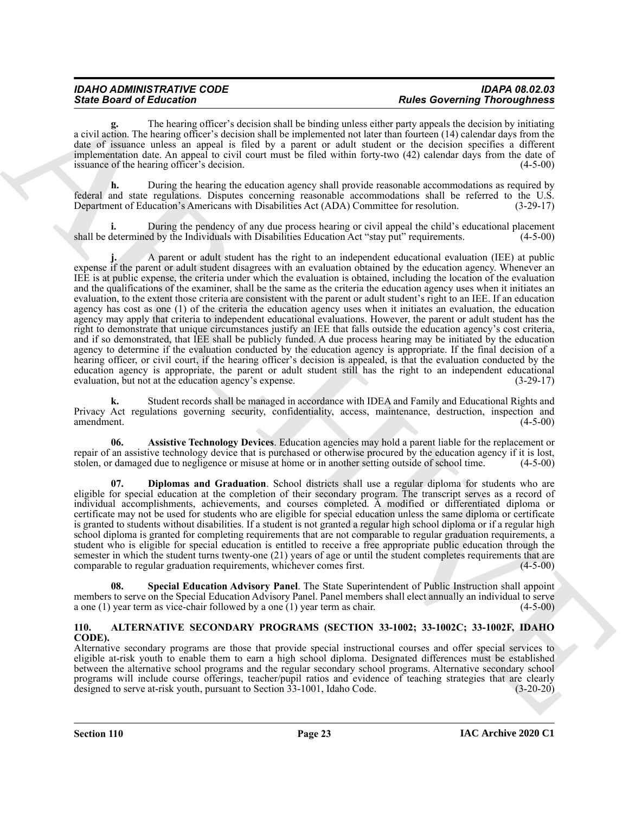**g.** The hearing officer's decision shall be binding unless either party appeals the decision by initiating a civil action. The hearing officer's decision shall be implemented not later than fourteen (14) calendar days from the date of issuance unless an appeal is filed by a parent or adult student or the decision specifies a different implementation date. An appeal to civil court must be filed within forty-two (42) calendar days from the date of issuance of the hearing officer's decision. (4-5-00)

**h.** During the hearing the education agency shall provide reasonable accommodations as required by federal and state regulations. Disputes concerning reasonable accommodations shall be referred to the U.S. Department of Education's Americans with Disabilities Act (ADA) Committee for resolution. (3-29-17)

**i.** During the pendency of any due process hearing or civil appeal the child's educational placement determined by the Individuals with Disabilities Education Act "stay put" requirements. (4-5-00) shall be determined by the Individuals with Disabilities Education Act "stay put" requirements.

Sinte Brazil e Electron e Universidad de Santa de Milles antes del norma per al estado de Santa de Santa de Santa de Santa de Santa de Santa de Santa de Santa de Santa de Santa de Santa de Santa de Santa de Santa de Santa **j.** A parent or adult student has the right to an independent educational evaluation (IEE) at public expense if the parent or adult student disagrees with an evaluation obtained by the education agency. Whenever an IEE is at public expense, the criteria under which the evaluation is obtained, including the location of the evaluation and the qualifications of the examiner, shall be the same as the criteria the education agency uses when it initiates an evaluation, to the extent those criteria are consistent with the parent or adult student's right to an IEE. If an education agency has cost as one (1) of the criteria the education agency uses when it initiates an evaluation, the education agency may apply that criteria to independent educational evaluations. However, the parent or adult student has the right to demonstrate that unique circumstances justify an IEE that falls outside the education agency's cost criteria, and if so demonstrated, that IEE shall be publicly funded. A due process hearing may be initiated by the education agency to determine if the evaluation conducted by the education agency is appropriate. If the final decision of a hearing officer, or civil court, if the hearing officer's decision is appealed, is that the evaluation conducted by the education agency is appropriate, the parent or adult student still has the right to an independent educational evaluation, but not at the education agency's expense.

**k.** Student records shall be managed in accordance with IDEA and Family and Educational Rights and Privacy Act regulations governing security, confidentiality, access, maintenance, destruction, inspection and amendment. (4-5-00)

<span id="page-22-2"></span>**06. Assistive Technology Devices**. Education agencies may hold a parent liable for the replacement or repair of an assistive technology device that is purchased or otherwise procured by the education agency if it is lost, stolen, or damaged due to negligence or misuse at home or in another setting outside of school time. (4-5-00)

<span id="page-22-3"></span>**07. Diplomas and Graduation**. School districts shall use a regular diploma for students who are eligible for special education at the completion of their secondary program. The transcript serves as a record of individual accomplishments, achievements, and courses completed. A modified or differentiated diploma or certificate may not be used for students who are eligible for special education unless the same diploma or certificate is granted to students without disabilities. If a student is not granted a regular high school diploma or if a regular high school diploma is granted for completing requirements that are not comparable to regular graduation requirements, a student who is eligible for special education is entitled to receive a free appropriate public education through the semester in which the student turns twenty-one (21) years of age or until the student completes requirements that are comparable to regular graduation requirements, whichever comes first. (4-5-00) comparable to regular graduation requirements, whichever comes first.

<span id="page-22-4"></span>**08. Special Education Advisory Panel**. The State Superintendent of Public Instruction shall appoint members to serve on the Special Education Advisory Panel. Panel members shall elect annually an individual to serve a one (1) year term as vice-chair followed by a one (1) year term as chair. (4-5-00)

#### <span id="page-22-1"></span><span id="page-22-0"></span>**110. ALTERNATIVE SECONDARY PROGRAMS (SECTION 33-1002; 33-1002C; 33-1002F, IDAHO CODE).**

Alternative secondary programs are those that provide special instructional courses and offer special services to eligible at-risk youth to enable them to earn a high school diploma. Designated differences must be established between the alternative school programs and the regular secondary school programs. Alternative secondary school programs will include course offerings, teacher/pupil ratios and evidence of teaching strategies that are clearly designed to serve at-risk youth, pursuant to Section 33-1001, Idaho Code. (3-20-20)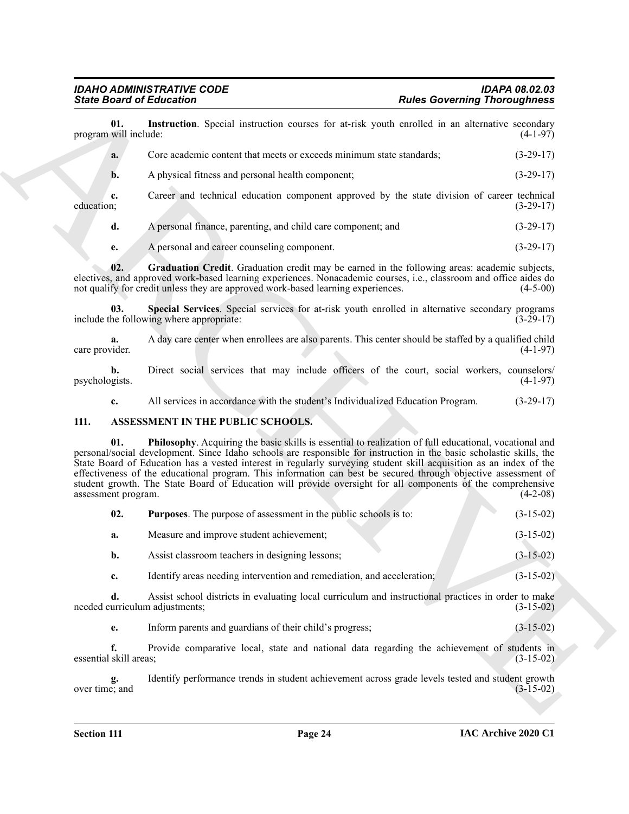<span id="page-23-2"></span>

| <b>State Board of Education</b>      |                                                                                                                                                                                                                                                                                                                                                                                                                                                                                                                                                                                              | <b>Rules Governing Thoroughness</b> |             |
|--------------------------------------|----------------------------------------------------------------------------------------------------------------------------------------------------------------------------------------------------------------------------------------------------------------------------------------------------------------------------------------------------------------------------------------------------------------------------------------------------------------------------------------------------------------------------------------------------------------------------------------------|-------------------------------------|-------------|
| 01.<br>program will include:         | Instruction. Special instruction courses for at-risk youth enrolled in an alternative secondary                                                                                                                                                                                                                                                                                                                                                                                                                                                                                              |                                     | $(4-1-97)$  |
| a.                                   | Core academic content that meets or exceeds minimum state standards;                                                                                                                                                                                                                                                                                                                                                                                                                                                                                                                         |                                     | $(3-29-17)$ |
| $\mathbf{b}$ .                       | A physical fitness and personal health component;                                                                                                                                                                                                                                                                                                                                                                                                                                                                                                                                            |                                     | $(3-29-17)$ |
| c.<br>education;                     | Career and technical education component approved by the state division of career technical                                                                                                                                                                                                                                                                                                                                                                                                                                                                                                  |                                     | $(3-29-17)$ |
| d.                                   | A personal finance, parenting, and child care component; and                                                                                                                                                                                                                                                                                                                                                                                                                                                                                                                                 |                                     | $(3-29-17)$ |
| e.                                   | A personal and career counseling component.                                                                                                                                                                                                                                                                                                                                                                                                                                                                                                                                                  |                                     | $(3-29-17)$ |
| 02.                                  | Graduation Credit. Graduation credit may be earned in the following areas: academic subjects,<br>electives, and approved work-based learning experiences. Nonacademic courses, i.e., classroom and office aides do<br>not qualify for credit unless they are approved work-based learning experiences.                                                                                                                                                                                                                                                                                       |                                     | $(4-5-00)$  |
| 03.                                  | Special Services. Special services for at-risk youth enrolled in alternative secondary programs<br>include the following where appropriate:                                                                                                                                                                                                                                                                                                                                                                                                                                                  |                                     | $(3-29-17)$ |
| a.<br>care provider.                 | A day care center when enrollees are also parents. This center should be staffed by a qualified child                                                                                                                                                                                                                                                                                                                                                                                                                                                                                        |                                     | $(4-1-97)$  |
| b.<br>psychologists.                 | Direct social services that may include officers of the court, social workers, counselors/                                                                                                                                                                                                                                                                                                                                                                                                                                                                                                   |                                     | $(4-1-97)$  |
| c.                                   | All services in accordance with the student's Individualized Education Program.                                                                                                                                                                                                                                                                                                                                                                                                                                                                                                              |                                     | $(3-29-17)$ |
| 111.                                 | ASSESSMENT IN THE PUBLIC SCHOOLS.                                                                                                                                                                                                                                                                                                                                                                                                                                                                                                                                                            |                                     |             |
| 01.<br>assessment program.           | <b>Philosophy.</b> Acquiring the basic skills is essential to realization of full educational, vocational and<br>personal/social development. Since Idaho schools are responsible for instruction in the basic scholastic skills, the<br>State Board of Education has a vested interest in regularly surveying student skill acquisition as an index of the<br>effectiveness of the educational program. This information can best be secured through objective assessment of<br>student growth. The State Board of Education will provide oversight for all components of the comprehensive |                                     | $(4-2-08)$  |
| 02.                                  | <b>Purposes.</b> The purpose of assessment in the public schools is to:                                                                                                                                                                                                                                                                                                                                                                                                                                                                                                                      |                                     | $(3-15-02)$ |
| a.                                   | Measure and improve student achievement;                                                                                                                                                                                                                                                                                                                                                                                                                                                                                                                                                     |                                     | $(3-15-02)$ |
| b.                                   | Assist classroom teachers in designing lessons;                                                                                                                                                                                                                                                                                                                                                                                                                                                                                                                                              |                                     | $(3-15-02)$ |
| c.                                   | Identify areas needing intervention and remediation, and acceleration;                                                                                                                                                                                                                                                                                                                                                                                                                                                                                                                       |                                     | $(3-15-02)$ |
| d.<br>needed curriculum adjustments; | Assist school districts in evaluating local curriculum and instructional practices in order to make                                                                                                                                                                                                                                                                                                                                                                                                                                                                                          |                                     | $(3-15-02)$ |
| e.                                   | Inform parents and guardians of their child's progress;                                                                                                                                                                                                                                                                                                                                                                                                                                                                                                                                      |                                     | $(3-15-02)$ |
| f.<br>essential skill areas;         | Provide comparative local, state and national data regarding the achievement of students in                                                                                                                                                                                                                                                                                                                                                                                                                                                                                                  |                                     | $(3-15-02)$ |
| g.<br>over time; and                 | Identify performance trends in student achievement across grade levels tested and student growth                                                                                                                                                                                                                                                                                                                                                                                                                                                                                             |                                     | $(3-15-02)$ |
|                                      |                                                                                                                                                                                                                                                                                                                                                                                                                                                                                                                                                                                              |                                     |             |

#### <span id="page-23-5"></span><span id="page-23-4"></span><span id="page-23-3"></span><span id="page-23-1"></span><span id="page-23-0"></span>**111. ASSESSMENT IN THE PUBLIC SCHOOLS.**

<span id="page-23-6"></span>

| 02. | <b>Purposes.</b> The purpose of assessment in the public schools is to: | $(3-15-02)$ |
|-----|-------------------------------------------------------------------------|-------------|
| а.  | Measure and improve student achievement;                                | $(3-15-02)$ |
| b.  | Assist classroom teachers in designing lessons;                         | $(3-15-02)$ |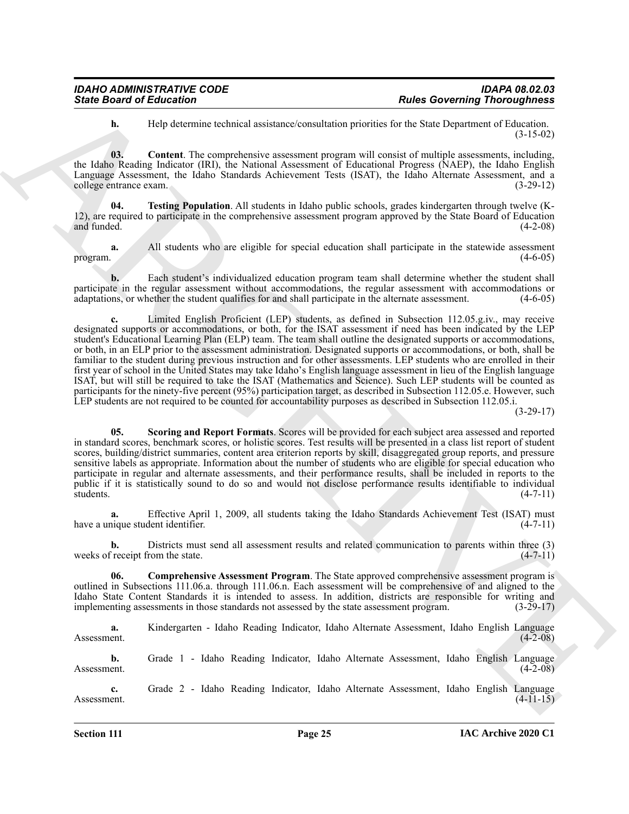<span id="page-24-1"></span>**h.** Help determine technical assistance/consultation priorities for the State Department of Education. (3-15-02)

**03. Content**. The comprehensive assessment program will consist of multiple assessments, including, the Idaho Reading Indicator (IRI), the National Assessment of Educational Progress (NAEP), the Idaho English Language Assessment, the Idaho Standards Achievement Tests (ISAT), the Idaho Alternate Assessment, and a college entrance exam. (3-29-12)

<span id="page-24-3"></span>**04. Testing Population**. All students in Idaho public schools, grades kindergarten through twelve (K-12), are required to participate in the comprehensive assessment program approved by the State Board of Education and funded.  $(4-2-08)$ 

**a.** All students who are eligible for special education shall participate in the statewide assessment (4-6-05) program.  $(4-6-05)$ 

**b.** Each student's individualized education program team shall determine whether the student shall participate in the regular assessment without accommodations, the regular assessment with accommodations or adaptations, or whether the student qualifies for and shall participate in the alternate assessment. (4-6-05) adaptations, or whether the student qualifies for and shall participate in the alternate assessment.

Sinte Board of Ethication <sup>2</sup> and the state of the state of the Sinte Download of the Sinter Download CED (15 c) and the state of the Sinter Download CED (15 c) and the state of the Sinte Download CED (15 c) and the state **c.** Limited English Proficient (LEP) students, as defined in Subsection 112.05.g.iv., may receive designated supports or accommodations, or both, for the ISAT assessment if need has been indicated by the LEP student's Educational Learning Plan (ELP) team. The team shall outline the designated supports or accommodations, or both, in an ELP prior to the assessment administration. Designated supports or accommodations, or both, shall be familiar to the student during previous instruction and for other assessments. LEP students who are enrolled in their first year of school in the United States may take Idaho's English language assessment in lieu of the English language ISAT, but will still be required to take the ISAT (Mathematics and Science). Such LEP students will be counted as participants for the ninety-five percent (95%) participation target, as described in Subsection 112.05.e. However, such LEP students are not required to be counted for accountability purposes as described in Subsection 112.05.i.

 $(3-29-17)$ 

<span id="page-24-2"></span>**05. Scoring and Report Formats**. Scores will be provided for each subject area assessed and reported in standard scores, benchmark scores, or holistic scores. Test results will be presented in a class list report of student scores, building/district summaries, content area criterion reports by skill, disaggregated group reports, and pressure sensitive labels as appropriate. Information about the number of students who are eligible for special education who participate in regular and alternate assessments, and their performance results, shall be included in reports to the public if it is statistically sound to do so and would not disclose performance results identifiable to individual students. (4-7-11)

**a.** Effective April 1, 2009, all students taking the Idaho Standards Achievement Test (ISAT) must have a unique student identifier.

**b.** Districts must send all assessment results and related communication to parents within three (3) weeks of receipt from the state. (4-7-11)

<span id="page-24-0"></span>**06. Comprehensive Assessment Program**. The State approved comprehensive assessment program is outlined in Subsections 111.06.a. through 111.06.n. Each assessment will be comprehensive of and aligned to the Idaho State Content Standards it is intended to assess. In addition, districts are responsible for writing and implementing assessments in those standards not assessed by the state assessment program. (3-29-17)

**a.** Kindergarten - Idaho Reading Indicator, Idaho Alternate Assessment, Idaho English Language Assessment. (4-2-08)

**b.** Grade 1 - Idaho Reading Indicator, Idaho Alternate Assessment, Idaho English Language Assessment. (4-2-08)

**c.** Grade 2 - Idaho Reading Indicator, Idaho Alternate Assessment, Idaho English Language Assessment. (4-11-15)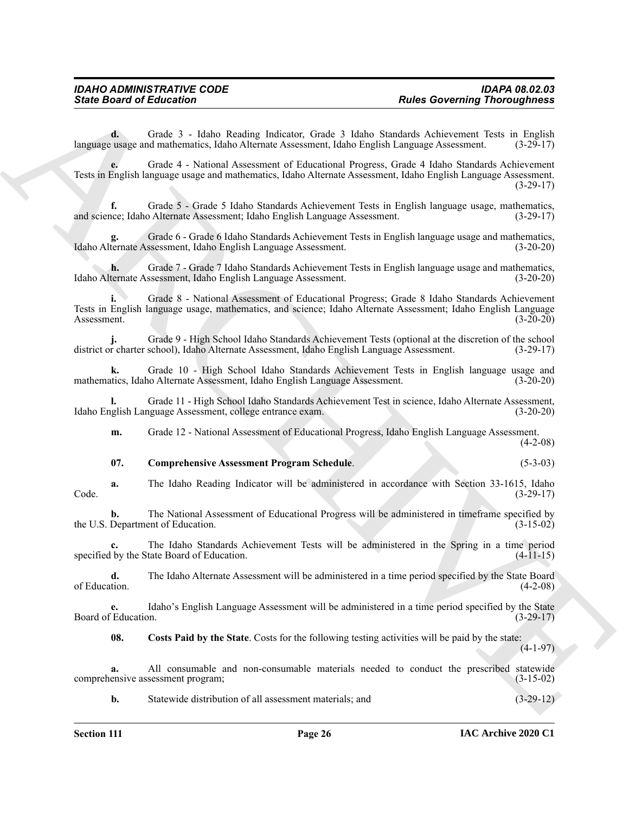**d.** Grade 3 - Idaho Reading Indicator, Grade 3 Idaho Standards Achievement Tests in English language usage and mathematics, Idaho Alternate Assessment, Idaho English Language Assessment. (3-29-17)

Sinte Board of Eclication<br>
Costs 2. Halo S. Costs 2. Halo Subsetz Greening Theoretics Research (1987)<br>
Length of the state of the State Afternoon Costs 2. Halo Subsetz Active Costs 2. Halo Subsetz Costs 2. (1984)<br>
Length **e.** Grade 4 - National Assessment of Educational Progress, Grade 4 Idaho Standards Achievement Tests in English language usage and mathematics, Idaho Alternate Assessment, Idaho English Language Assessment. (3-29-17)

**f.** Grade 5 - Grade 5 Idaho Standards Achievement Tests in English language usage, mathematics, and science; Idaho Alternate Assessment; Idaho English Language Assessment. (3-29-17)

**g.** Grade 6 - Grade 6 Idaho Standards Achievement Tests in English language usage and mathematics, Idaho Alternate Assessment, Idaho English Language Assessment. (3-20-20)

**h.** Grade 7 - Grade 7 Idaho Standards Achievement Tests in English language usage and mathematics, ternate Assessment, Idaho English Language Assessment. (3-20-20) Idaho Alternate Assessment, Idaho English Language Assessment.

**i.** Grade 8 - National Assessment of Educational Progress; Grade 8 Idaho Standards Achievement Tests in English language usage, mathematics, and science; Idaho Alternate Assessment; Idaho English Language Assessment. (3-20-20)

**j.** Grade 9 - High School Idaho Standards Achievement Tests (optional at the discretion of the school r charter school), Idaho Alternate Assessment, Idaho English Language Assessment. (3-29-17) district or charter school), Idaho Alternate Assessment, Idaho English Language Assessment.

**k.** Grade 10 - High School Idaho Standards Achievement Tests in English language usage and mathematics, Idaho Alternate Assessment, Idaho English Language Assessment.

**l.** Grade 11 - High School Idaho Standards Achievement Test in science, Idaho Alternate Assessment, Idaho English Language Assessment, college entrance exam.

**m.** Grade 12 - National Assessment of Educational Progress, Idaho English Language Assessment.  $(4-2-08)$ 

#### <span id="page-25-0"></span>**07. Comprehensive Assessment Program Schedule**. (5-3-03)

**a.** The Idaho Reading Indicator will be administered in accordance with Section 33-1615, Idaho Code. (3-29-17)

**b.** The National Assessment of Educational Progress will be administered in timeframe specified by<br>Department of Education. (3-15-02) the U.S. Department of Education.

**c.** The Idaho Standards Achievement Tests will be administered in the Spring in a time period specified by the State Board of Education. (4-11-15)

**d.** The Idaho Alternate Assessment will be administered in a time period specified by the State Board of Education. (4-2-08) of Education. (4-2-08)

**e.** Idaho's English Language Assessment will be administered in a time period specified by the State Board of Education. (3-29-17)

<span id="page-25-1"></span>**08. Costs Paid by the State**. Costs for the following testing activities will be paid by the state:

 $(4-1-97)$ 

**a.** All consumable and non-consumable materials needed to conduct the prescribed statewide ensive assessment program; (3-15-02) comprehensive assessment program;

**b.** Statewide distribution of all assessment materials; and  $(3-29-12)$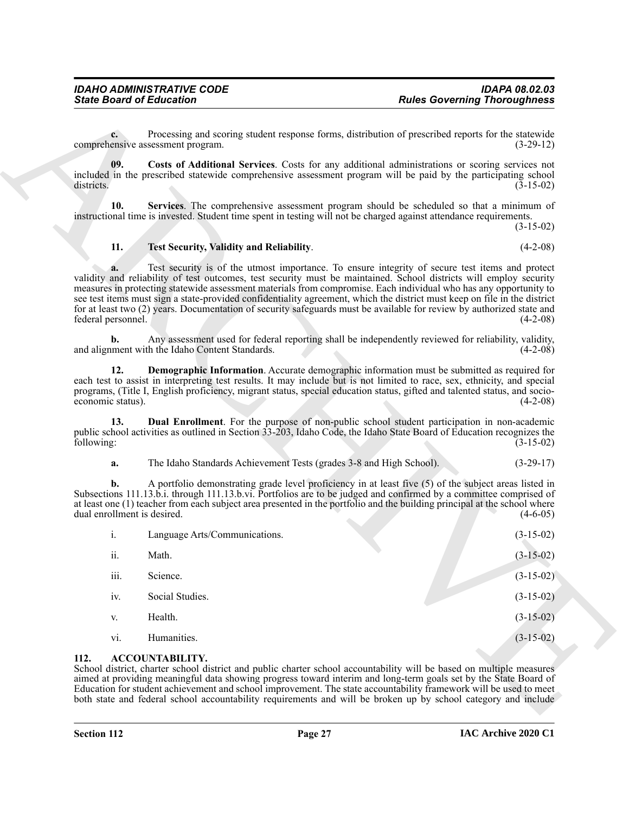#### <span id="page-26-6"></span><span id="page-26-5"></span><span id="page-26-2"></span>**11. Test Security, Validity and Reliability**. (4-2-08)

#### <span id="page-26-4"></span><span id="page-26-3"></span>**a.** The Idaho Standards Achievement Tests (grades 3-8 and High School). (3-29-17)

| <b>State Board of Education</b>   |                                                                     | <b>Rules Governing Thoroughness</b>                                                                                                                                                                                                                                                                                                                                                                                                                                                                                                                                                                            |
|-----------------------------------|---------------------------------------------------------------------|----------------------------------------------------------------------------------------------------------------------------------------------------------------------------------------------------------------------------------------------------------------------------------------------------------------------------------------------------------------------------------------------------------------------------------------------------------------------------------------------------------------------------------------------------------------------------------------------------------------|
| $c_{\cdot}$                       | comprehensive assessment program.                                   | Processing and scoring student response forms, distribution of prescribed reports for the statewide<br>$(3-29-12)$                                                                                                                                                                                                                                                                                                                                                                                                                                                                                             |
| 09.<br>districts.                 |                                                                     | Costs of Additional Services. Costs for any additional administrations or scoring services not<br>included in the prescribed statewide comprehensive assessment program will be paid by the participating school<br>$(3-15-02)$                                                                                                                                                                                                                                                                                                                                                                                |
| 10.                               |                                                                     | Services. The comprehensive assessment program should be scheduled so that a minimum of<br>instructional time is invested. Student time spent in testing will not be charged against attendance requirements.<br>$(3-15-02)$                                                                                                                                                                                                                                                                                                                                                                                   |
| 11.                               | Test Security, Validity and Reliability.                            | $(4-2-08)$                                                                                                                                                                                                                                                                                                                                                                                                                                                                                                                                                                                                     |
| a.<br>federal personnel.          |                                                                     | Test security is of the utmost importance. To ensure integrity of secure test items and protect<br>validity and reliability of test outcomes, test security must be maintained. School districts will employ security<br>measures in protecting statewide assessment materials from compromise. Each individual who has any opportunity to<br>see test items must sign a state-provided confidentiality agreement, which the district must keep on file in the district<br>for at least two (2) years. Documentation of security safeguards must be available for review by authorized state and<br>$(4-2-08)$ |
| b.                                | and alignment with the Idaho Content Standards.                     | Any assessment used for federal reporting shall be independently reviewed for reliability, validity,<br>$(4-2-08)$                                                                                                                                                                                                                                                                                                                                                                                                                                                                                             |
| 12.<br>economic status).          |                                                                     | Demographic Information. Accurate demographic information must be submitted as required for<br>each test to assist in interpreting test results. It may include but is not limited to race, sex, ethnicity, and special<br>programs, (Title I, English proficiency, migrant status, special education status, gifted and talented status, and socio-<br>$(4-2-08)$                                                                                                                                                                                                                                             |
| 13.<br>following:                 |                                                                     | <b>Dual Enrollment</b> . For the purpose of non-public school student participation in non-academic<br>public school activities as outlined in Section 33-203, Idaho Code, the Idaho State Board of Education recognizes the<br>$(3-15-02)$                                                                                                                                                                                                                                                                                                                                                                    |
| a.                                | The Idaho Standards Achievement Tests (grades 3-8 and High School). | $(3-29-17)$                                                                                                                                                                                                                                                                                                                                                                                                                                                                                                                                                                                                    |
| b.<br>dual enrollment is desired. |                                                                     | A portfolio demonstrating grade level proficiency in at least five (5) of the subject areas listed in<br>Subsections 111.13.b.i. through 111.13.b.vi. Portfolios are to be judged and confirmed by a committee comprised of<br>at least one (1) teacher from each subject area presented in the portfolio and the building principal at the school where<br>$(4-6-05)$                                                                                                                                                                                                                                         |
| i.                                | Language Arts/Communications.                                       | $(3-15-02)$                                                                                                                                                                                                                                                                                                                                                                                                                                                                                                                                                                                                    |
| ii.                               | Math.                                                               | $(3-15-02)$                                                                                                                                                                                                                                                                                                                                                                                                                                                                                                                                                                                                    |
| iii.                              | Science.                                                            | $(3-15-02)$                                                                                                                                                                                                                                                                                                                                                                                                                                                                                                                                                                                                    |
| iv.                               | Social Studies.                                                     | $(3-15-02)$                                                                                                                                                                                                                                                                                                                                                                                                                                                                                                                                                                                                    |
| V.                                | Health.                                                             | $(3-15-02)$                                                                                                                                                                                                                                                                                                                                                                                                                                                                                                                                                                                                    |
| vi.                               | Humanities.                                                         | $(3-15-02)$                                                                                                                                                                                                                                                                                                                                                                                                                                                                                                                                                                                                    |
| 112.                              | <b>ACCOUNTABILITY.</b>                                              | School district, charter school district and public charter school accountability will be based on multiple measures<br>aimed at providing meaningful data showing progress toward interim and long-term goals set by the State Board of<br>Education for student achievement and school improvement. The state accountability framework will be used to meet<br>both state and federal school accountability requirements and will be broken up by school category and include                                                                                                                                |

#### <span id="page-26-1"></span><span id="page-26-0"></span>**112. ACCOUNTABILITY.**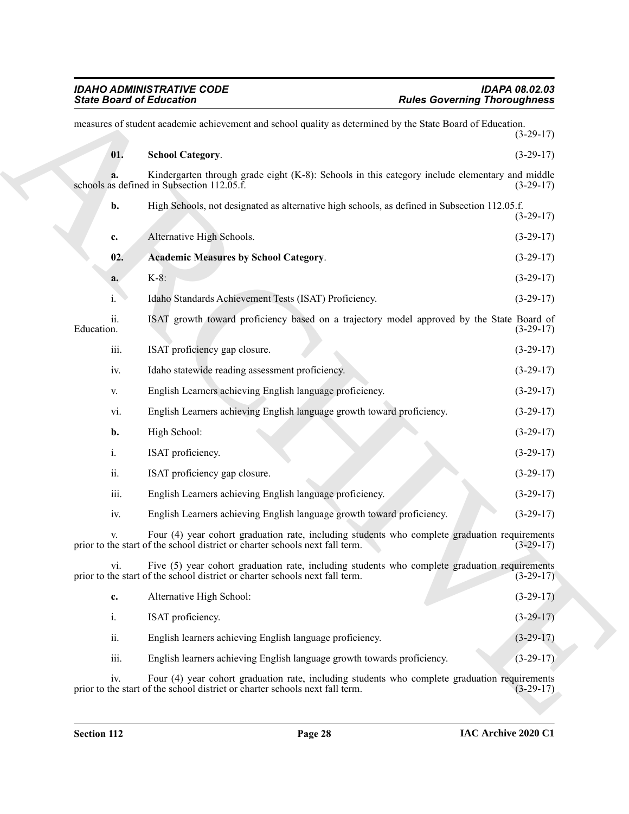<span id="page-27-1"></span><span id="page-27-0"></span>

|                   | <b>State Board of Education</b>                                                                                                                                               | <b>Rules Governing Thoroughness</b> |
|-------------------|-------------------------------------------------------------------------------------------------------------------------------------------------------------------------------|-------------------------------------|
|                   | measures of student academic achievement and school quality as determined by the State Board of Education.                                                                    | $(3-29-17)$                         |
| 01.               | <b>School Category.</b>                                                                                                                                                       | $(3-29-17)$                         |
|                   | Kindergarten through grade eight (K-8): Schools in this category include elementary and middle<br>schools as defined in Subsection 112.05.f.                                  | $(3-29-17)$                         |
| b.                | High Schools, not designated as alternative high schools, as defined in Subsection 112.05.f.                                                                                  | $(3-29-17)$                         |
| c.                | Alternative High Schools.                                                                                                                                                     | $(3-29-17)$                         |
| 02.               | <b>Academic Measures by School Category.</b>                                                                                                                                  | $(3-29-17)$                         |
| a.                | $K-8$ :                                                                                                                                                                       | $(3-29-17)$                         |
| i.                | Idaho Standards Achievement Tests (ISAT) Proficiency.                                                                                                                         | $(3-29-17)$                         |
| ii.<br>Education. | ISAT growth toward proficiency based on a trajectory model approved by the State Board of                                                                                     | $(3-29-17)$                         |
| iii.              | ISAT proficiency gap closure.                                                                                                                                                 | $(3-29-17)$                         |
| iv.               | Idaho statewide reading assessment proficiency.                                                                                                                               | $(3-29-17)$                         |
| V.                | English Learners achieving English language proficiency.                                                                                                                      | $(3-29-17)$                         |
| vi.               | English Learners achieving English language growth toward proficiency.                                                                                                        | $(3-29-17)$                         |
| b.                | High School:                                                                                                                                                                  | $(3-29-17)$                         |
| i.                | ISAT proficiency.                                                                                                                                                             | $(3-29-17)$                         |
| ii.               | ISAT proficiency gap closure.                                                                                                                                                 | $(3-29-17)$                         |
| iii.              | English Learners achieving English language proficiency.                                                                                                                      | $(3-29-17)$                         |
| iv.               | English Learners achieving English language growth toward proficiency.                                                                                                        | $(3-29-17)$                         |
|                   | Four (4) year cohort graduation rate, including students who complete graduation requirements<br>prior to the start of the school district or charter schools next fall term. | $(3-29-17)$                         |
| vi.               | Five (5) year cohort graduation rate, including students who complete graduation requirements<br>prior to the start of the school district or charter schools next fall term. | $(3-29-17)$                         |
| c.                | Alternative High School:                                                                                                                                                      | $(3-29-17)$                         |
| i.                | ISAT proficiency.                                                                                                                                                             | $(3-29-17)$                         |
| ii.               | English learners achieving English language proficiency.                                                                                                                      | $(3-29-17)$                         |
| iii.              | English learners achieving English language growth towards proficiency.                                                                                                       | $(3-29-17)$                         |
| iv.               | Four (4) year cohort graduation rate, including students who complete graduation requirements<br>prior to the start of the school district or charter schools next fall term. | $(3-29-17)$                         |
|                   |                                                                                                                                                                               |                                     |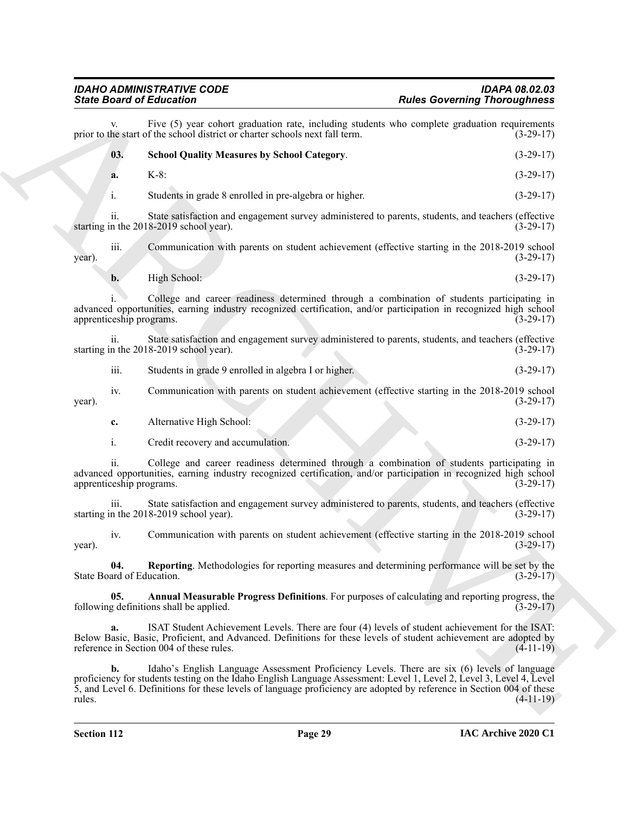#### <span id="page-28-2"></span>*IDAHO ADMINISTRATIVE CODE IDAPA 08.02.03 State Board of Education Rules Governing Thoroughness*

Sinks Board of Ecliptonian <sup>2</sup> are the state of the state of the state control of the state of the state of the state of the state of the state of the state of the state of the state of the state of the state of the state Five (5) year cohort graduation rate, including students who complete graduation requirements of the school district or charter schools next fall term. (3-29-17) prior to the start of the school district or charter schools next fall term. **03. School Quality Measures by School Category**. (3-29-17) **a.** K-8: (3-29-17) i. Students in grade 8 enrolled in pre-algebra or higher. (3-29-17) ii. State satisfaction and engagement survey administered to parents, students, and teachers (effective starting in the 2018-2019 school year). (3-29-17) iii. Communication with parents on student achievement (effective starting in the 2018-2019 school  $\frac{1}{3}$  year). (3-29-17) **b.** High School: (3-29-17) i. College and career readiness determined through a combination of students participating in advanced opportunities, earning industry recognized certification, and/or participation in recognized high school apprenticeship programs. (3-29-17) ii. State satisfaction and engagement survey administered to parents, students, and teachers (effective n the 2018-2019 school year). (3-29-17) starting in the 2018-2019 school year). iii. Students in grade 9 enrolled in algebra I or higher. (3-29-17) iv. Communication with parents on student achievement (effective starting in the 2018-2019 school  $\frac{1}{2}$  year). (3-29-17) **c.** Alternative High School: (3-29-17) i. Credit recovery and accumulation. (3-29-17) ii. College and career readiness determined through a combination of students participating in advanced opportunities, earning industry recognized certification, and/or participation in recognized high school apprenticeship programs. (3-29-17)

iii. State satisfaction and engagement survey administered to parents, students, and teachers (effective starting in the 2018-2019 school year). (3-29-17)

iv. Communication with parents on student achievement (effective starting in the 2018-2019 school  $\mu$  year). (3-29-17)

<span id="page-28-1"></span>**04.** Reporting. Methodologies for reporting measures and determining performance will be set by the ard of Education. (3-29-17) State Board of Education.

<span id="page-28-0"></span>**05. Annual Measurable Progress Definitions**. For purposes of calculating and reporting progress, the following definitions shall be applied. (3-29-17)

**a.** ISAT Student Achievement Levels. There are four (4) levels of student achievement for the ISAT: Below Basic, Basic, Proficient, and Advanced. Definitions for these levels of student achievement are adopted by reference in Section 004 of these rules. (4-11-19)

**b.** Idaho's English Language Assessment Proficiency Levels. There are six (6) levels of language proficiency for students testing on the Idaho English Language Assessment: Level 1, Level 2, Level 3, Level 4, Level 5, and Level 6. Definitions for these levels of language proficiency are adopted by reference in Section 004 of these rules. (4-11-19)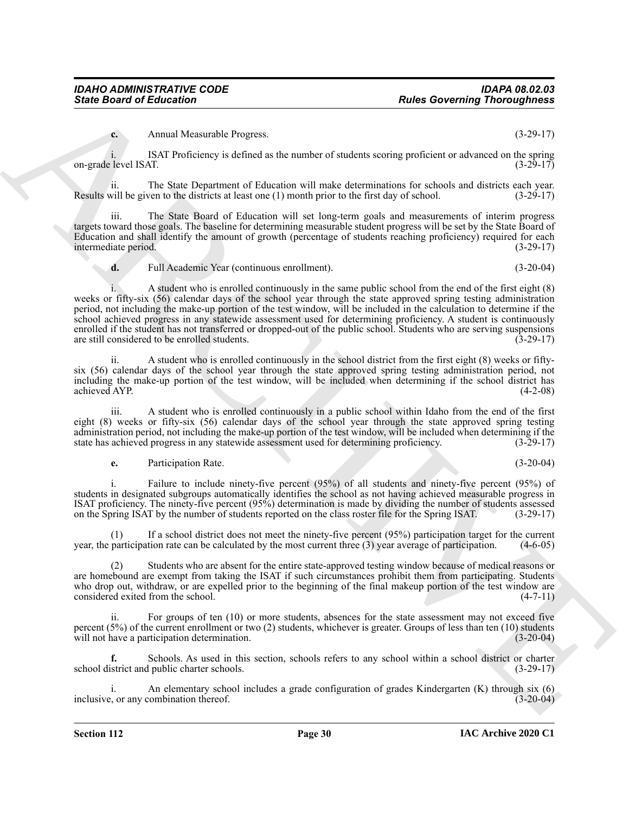**c.** Annual Measurable Progress. (3-29-17)

i. ISAT Proficiency is defined as the number of students scoring proficient or advanced on the spring (3-29-17)<br>(3-29-17) on-grade level ISAT.

ii. The State Department of Education will make determinations for schools and districts each year. Results will be given to the districts at least one  $(1)$  month prior to the first day of school.

The State Board of Education will set long-term goals and measurements of interim progress targets toward those goals. The baseline for determining measurable student progress will be set by the State Board of Education and shall identify the amount of growth (percentage of students reaching proficiency) required for each intermediate period. (3-29-17) intermediate period.

**d.** Full Academic Year (continuous enrollment). (3-20-04)

**Since Board of Entreprises Control in the Control interaction of the Control interaction (5 and 20).**<br>
ARCHIVENT THE SEE DEPARTMENT IN THE SEE DEPARTMENT IN THE SEE DEPARTMENT IS CONSIDER THE CONTROL INTERFERENCE IS CONS i. A student who is enrolled continuously in the same public school from the end of the first eight (8) weeks or fifty-six (56) calendar days of the school year through the state approved spring testing administration period, not including the make-up portion of the test window, will be included in the calculation to determine if the school achieved progress in any statewide assessment used for determining proficiency. A student is continuously enrolled if the student has not transferred or dropped-out of the public school. Students who are serving suspensions are still considered to be enrolled students. (3-29-17) are still considered to be enrolled students.

A student who is enrolled continuously in the school district from the first eight (8) weeks or fiftysix (56) calendar days of the school year through the state approved spring testing administration period, not including the make-up portion of the test window, will be included when determining if the school district has achieved AYP.

iii. A student who is enrolled continuously in a public school within Idaho from the end of the first eight (8) weeks or fifty-six (56) calendar days of the school year through the state approved spring testing administration period, not including the make-up portion of the test window, will be included when determining if the state has achieved progress in any statewide assessment used for determining proficiency. (3-29-17) state has achieved progress in any statewide assessment used for determining proficiency.

**e.** Participation Rate. (3-20-04)

i. Failure to include ninety-five percent (95%) of all students and ninety-five percent (95%) of students in designated subgroups automatically identifies the school as not having achieved measurable progress in ISAT proficiency. The ninety-five percent (95%) determination is made by dividing the number of students assessed on the Spring ISAT by the number of students reported on the class roster file for the Spring ISAT. (3-29-17)

If a school district does not meet the ninety-five percent (95%) participation target for the current year, the participation rate can be calculated by the most current three (3) year average of participation. (4-6-05)

(2) Students who are absent for the entire state-approved testing window because of medical reasons or are homebound are exempt from taking the ISAT if such circumstances prohibit them from participating. Students who drop out, withdraw, or are expelled prior to the beginning of the final makeup portion of the test window are considered exited from the school. (4-7-11)

ii. For groups of ten (10) or more students, absences for the state assessment may not exceed five percent (5%) of the current enrollment or two (2) students, whichever is greater. Groups of less than ten (10) students will not have a participation determination. (3-20-04) will not have a participation determination.

**f.** Schools. As used in this section, schools refers to any school within a school district or charter school district and public charter schools. (3-29-17)

An elementary school includes a grade configuration of grades Kindergarten (K) through six (6) combination thereof. (3-20-04) inclusive, or any combination thereof.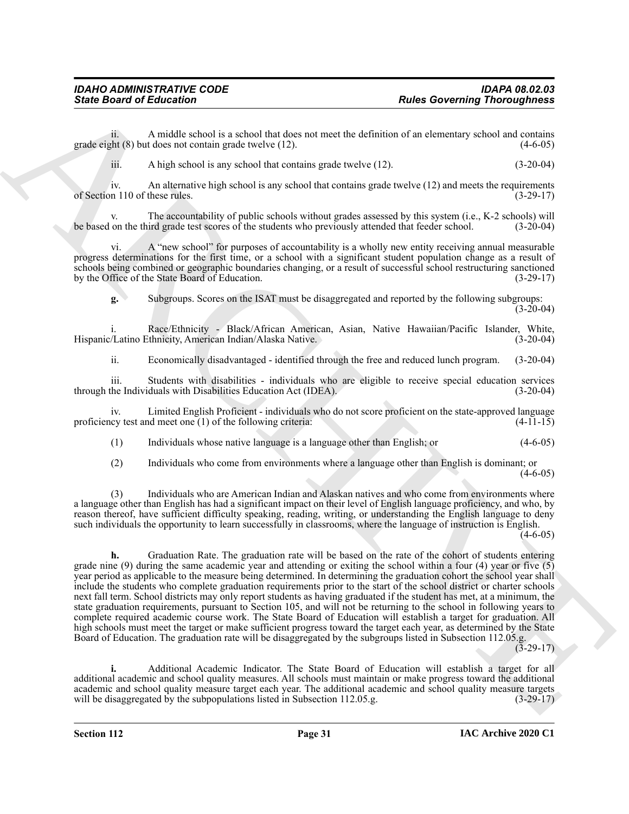ii. A middle school is a school that does not meet the definition of an elementary school and contains  $8ph (8)$  but does not contain grade twelve (12). grade eight  $(8)$  but does not contain grade twelve  $(12)$ .

iii. A high school is any school that contains grade twelve (12). (3-20-04)

iv. An alternative high school is any school that contains grade twelve (12) and meets the requirements of Section 110 of these rules. (3-29-17)

The accountability of public schools without grades assessed by this system (i.e., K-2 schools) will be based on the third grade test scores of the students who previously attended that feeder school. (3-20-04)

vi. A "new school" for purposes of accountability is a wholly new entity receiving annual measurable progress determinations for the first time, or a school with a significant student population change as a result of schools being combined or geographic boundaries changing, or a result of successful school restructuring sanctioned by the Office of the State Board of Education. (3-29-17)

**g.** Subgroups. Scores on the ISAT must be disaggregated and reported by the following subgroups:  $(3-20-04)$ 

i. Race/Ethnicity - Black/African American, Asian, Native Hawaiian/Pacific Islander, White, Hispanic/Latino Ethnicity, American Indian/Alaska Native.

ii. Economically disadvantaged - identified through the free and reduced lunch program. (3-20-04)

iii. Students with disabilities - individuals who are eligible to receive special education services through the Individuals with Disabilities Education Act (IDEA). (3-20-04)

iv. Limited English Proficient - individuals who do not score proficient on the state-approved language locy test and meet one (1) of the following criteria: (4-11-15) proficiency test and meet one  $(1)$  of the following criteria:

(1) Individuals whose native language is a language other than English; or (4-6-05)

(2) Individuals who come from environments where a language other than English is dominant; or  $(4-6-05)$ 

(3) Individuals who are American Indian and Alaskan natives and who come from environments where a language other than English has had a significant impact on their level of English language proficiency, and who, by reason thereof, have sufficient difficulty speaking, reading, writing, or understanding the English language to deny such individuals the opportunity to learn successfully in classrooms, where the language of instruction is English.  $(4-6-05)$ 

Finite Board of Entimation Control is a stability and we had a stability of the distribution of the distribution of the distribution of the distribution of the distribution of the distribution of the distribution of the s **h.** Graduation Rate. The graduation rate will be based on the rate of the cohort of students entering grade nine (9) during the same academic year and attending or exiting the school within a four (4) year or five  $(5)$ year period as applicable to the measure being determined. In determining the graduation cohort the school year shall include the students who complete graduation requirements prior to the start of the school district or charter schools next fall term. School districts may only report students as having graduated if the student has met, at a minimum, the state graduation requirements, pursuant to Section 105, and will not be returning to the school in following years to complete required academic course work. The State Board of Education will establish a target for graduation. All high schools must meet the target or make sufficient progress toward the target each year, as determined by the State Board of Education. The graduation rate will be disaggregated by the subgroups listed in Subsection 112.05.g.

 $(3-29-17)$ 

**i.** Additional Academic Indicator. The State Board of Education will establish a target for all additional academic and school quality measures. All schools must maintain or make progress toward the additional academic and school quality measure target each year. The additional academic and school quality measure targets will be disaggregated by the subpopulations listed in Subsection 112.05.g. (3-29-17) will be disaggregated by the subpopulations listed in Subsection 112.05.g.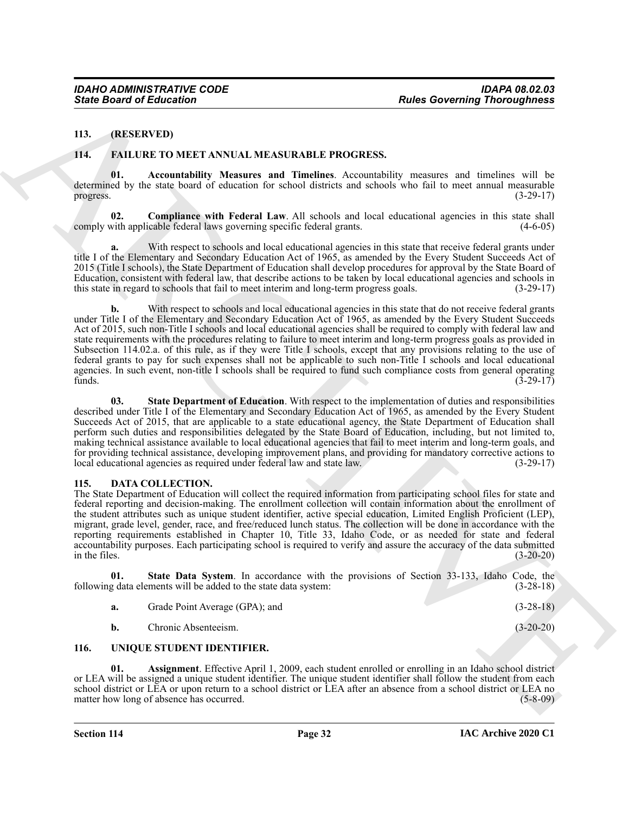#### <span id="page-31-0"></span>**113. (RESERVED)**

#### <span id="page-31-7"></span><span id="page-31-6"></span><span id="page-31-1"></span>**114. FAILURE TO MEET ANNUAL MEASURABLE PROGRESS.**

**01. Accountability Measures and Timelines**. Accountability measures and timelines will be determined by the state board of education for school districts and schools who fail to meet annual measurable progress.  $(3-29-17)$ 

<span id="page-31-8"></span>**Compliance with Federal Law**. All schools and local educational agencies in this state shall icable federal laws governing specific federal grants. (4-6-05) comply with applicable federal laws governing specific federal grants.

With respect to schools and local educational agencies in this state that receive federal grants under title I of the Elementary and Secondary Education Act of 1965, as amended by the Every Student Succeeds Act of 2015 (Title I schools), the State Department of Education shall develop procedures for approval by the State Board of Education, consistent with federal law, that describe actions to be taken by local educational agencies and schools in this state in regard to schools that fail to meet interim and long-term progress goals. (3-29-17) this state in regard to schools that fail to meet interim and long-term progress goals.

Since Board of Education<br>
14. (REELIVATION TELEVATION LEAST LEADER PROCEIVES.<br>
14. (REELIVATION TO MELIT ANNIAL MEASURABLE PROCEIVES.<br>
14. (Particular of The Highlands Achieves) and The Highlands Achieves and Financial Co With respect to schools and local educational agencies in this state that do not receive federal grants under Title I of the Elementary and Secondary Education Act of 1965, as amended by the Every Student Succeeds Act of 2015, such non-Title I schools and local educational agencies shall be required to comply with federal law and state requirements with the procedures relating to failure to meet interim and long-term progress goals as provided in Subsection 114.02.a. of this rule, as if they were Title I schools, except that any provisions relating to the use of federal grants to pay for such expenses shall not be applicable to such non-Title I schools and local educational agencies. In such event, non-title I schools shall be required to fund such compliance costs from general operating funds.  $(3-29-17)$ funds.  $(3-29-17)$ 

<span id="page-31-9"></span>**03. State Department of Education**. With respect to the implementation of duties and responsibilities described under Title I of the Elementary and Secondary Education Act of 1965, as amended by the Every Student Succeeds Act of 2015, that are applicable to a state educational agency, the State Department of Education shall perform such duties and responsibilities delegated by the State Board of Education, including, but not limited to, making technical assistance available to local educational agencies that fail to meet interim and long-term goals, and for providing technical assistance, developing improvement plans, and providing for mandatory corrective actions to local educational agencies as required under federal law and state law. (3-29-17) local educational agencies as required under federal law and state law.

#### <span id="page-31-4"></span><span id="page-31-2"></span>**115. DATA COLLECTION.**

The State Department of Education will collect the required information from participating school files for state and federal reporting and decision-making. The enrollment collection will contain information about the enrollment of the student attributes such as unique student identifier, active special education, Limited English Proficient (LEP), migrant, grade level, gender, race, and free/reduced lunch status. The collection will be done in accordance with the reporting requirements established in Chapter 10, Title 33, Idaho Code, or as needed for state and federal accountability purposes. Each participating school is required to verify and assure the accuracy of the data submitted in the files. (3-20-20)

**01.** State Data System. In accordance with the provisions of Section 33-133, Idaho Code, the g data elements will be added to the state data system: (3-28-18) following data elements will be added to the state data system:

<span id="page-31-5"></span>

| Grade Point Average (GPA); and | $(3-28-18)$ |
|--------------------------------|-------------|
|                                |             |

<span id="page-31-11"></span><span id="page-31-10"></span>**b.** Chronic Absenteeism. (3-20-20)

#### <span id="page-31-3"></span>**116. UNIQUE STUDENT IDENTIFIER.**

**01. Assignment**. Effective April 1, 2009, each student enrolled or enrolling in an Idaho school district or LEA will be assigned a unique student identifier. The unique student identifier shall follow the student from each school district or LEA or upon return to a school district or LEA after an absence from a school district or LEA no<br>
(5-8-09) matter how long of absence has occurred.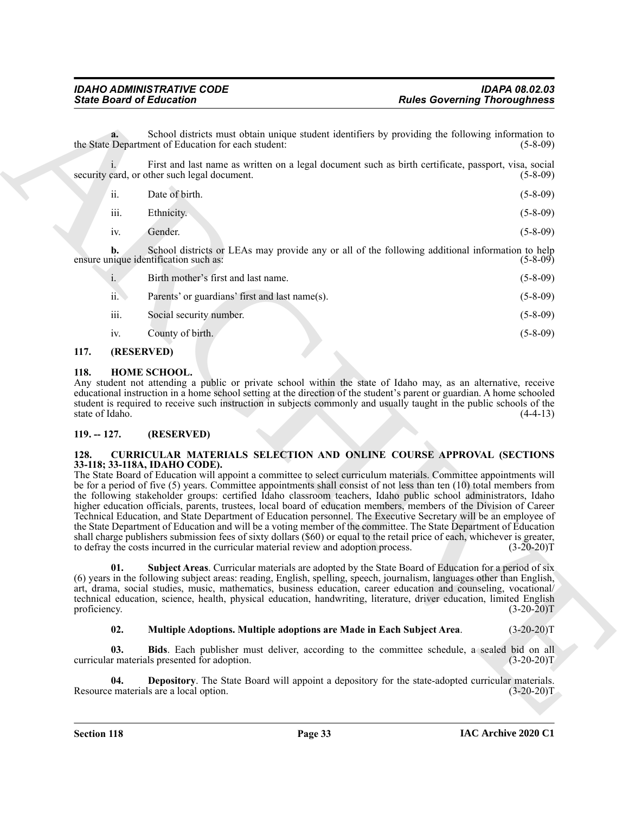**a.** School districts must obtain unique student identifiers by providing the following information to the State Department of Education for each student: (5-8-09) (5-8-09)

i. First and last name as written on a legal document such as birth certificate, passport, visa, social security card, or other such legal document. (5-8-09)

| $\overline{\mathbf{ii}}$ . | Date of birth. | $(5-8-09)$ |
|----------------------------|----------------|------------|
| iii.                       | Ethnicity.     | $(5-8-09)$ |

iv. Gender. (5-8-09)

**b.** School districts or LEAs may provide any or all of the following additional information to help ensure unique identification such as: (5-8-09)

|                       | Birth mother's first and last name.            | $(5-8-09)$ |
|-----------------------|------------------------------------------------|------------|
| $\ddot{\mathbf{i}}$ . | Parents' or guardians' first and last name(s). | $(5-8-09)$ |
| iii.                  | Social security number.                        | $(5-8-09)$ |
| iv.                   | County of birth.                               | $(5-8-09)$ |

#### <span id="page-32-0"></span>**117. (RESERVED)**

#### <span id="page-32-9"></span><span id="page-32-1"></span>**118. HOME SCHOOL.**

Any student not attending a public or private school within the state of Idaho may, as an alternative, receive educational instruction in a home school setting at the direction of the student's parent or guardian. A home schooled student is required to receive such instruction in subjects commonly and usually taught in the public schools of the state of Idaho. (4-4-13)

#### <span id="page-32-2"></span>**119. -- 127. (RESERVED)**

#### <span id="page-32-4"></span><span id="page-32-3"></span>**128. CURRICULAR MATERIALS SELECTION AND ONLINE COURSE APPROVAL (SECTIONS 33-118; 33-118A, IDAHO CODE).**

Finite Board of Enthusian Community three distribution by providing the community result of the set of the set of the set of the set of the set of the set of the set of the set of the set of the set of the set of the set The State Board of Education will appoint a committee to select curriculum materials. Committee appointments will be for a period of five (5) years. Committee appointments shall consist of not less than ten (10) total members from the following stakeholder groups: certified Idaho classroom teachers, Idaho public school administrators, Idaho higher education officials, parents, trustees, local board of education members, members of the Division of Career Technical Education, and State Department of Education personnel. The Executive Secretary will be an employee of the State Department of Education and will be a voting member of the committee. The State Department of Education shall charge publishers submission fees of sixty dollars (\$60) or equal to the retail price of each, whichever is greater, to defray the costs incurred in the curricular material review and adoption process. (3-20-20)T

<span id="page-32-8"></span>**01. Subject Areas**. Curricular materials are adopted by the State Board of Education for a period of six (6) years in the following subject areas: reading, English, spelling, speech, journalism, languages other than English, art, drama, social studies, music, mathematics, business education, career education and counseling, vocational/ technical education, science, health, physical education, handwriting, literature, driver education, limited English proficiency. (3-20-20)T proficiency.  $(3-20-20)T$ 

#### <span id="page-32-7"></span><span id="page-32-6"></span><span id="page-32-5"></span>**02. Multiple Adoptions. Multiple adoptions are Made in Each Subject Area**. (3-20-20)T

**03. Bids**. Each publisher must deliver, according to the committee schedule, a sealed bid on all r materials presented for adoption. (3-20-20) curricular materials presented for adoption.

**04. Depository**. The State Board will appoint a depository for the state-adopted curricular materials. Resource materials are a local option. (3-20-20)T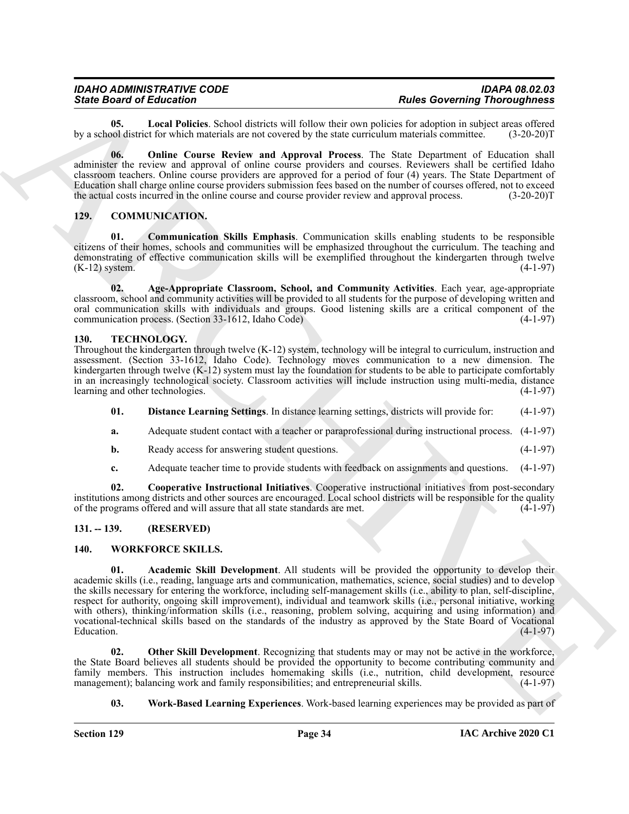| <b>IDAHO ADMINISTRATIVE CODE</b> | <b>IDAPA 08.02.03</b>               |
|----------------------------------|-------------------------------------|
| <b>State Board of Education</b>  | <b>Rules Governing Thoroughness</b> |

<span id="page-33-7"></span>**05.** Local Policies. School districts will follow their own policies for adoption in subject areas offered bol district for which materials are not covered by the state curriculum materials committee. (3-20-20)T by a school district for which materials are not covered by the state curriculum materials committee.

<span id="page-33-8"></span>**06. Online Course Review and Approval Process**. The State Department of Education shall administer the review and approval of online course providers and courses. Reviewers shall be certified Idaho classroom teachers. Online course providers are approved for a period of four (4) years. The State Department of Education shall charge online course providers submission fees based on the number of courses offered, not to exceed the actual costs incurred in the online course and course provider review and approval process. (3-20-20)T

#### <span id="page-33-6"></span><span id="page-33-4"></span><span id="page-33-0"></span>**129. COMMUNICATION.**

**01. Communication Skills Emphasis**. Communication skills enabling students to be responsible citizens of their homes, schools and communities will be emphasized throughout the curriculum. The teaching and demonstrating of effective communication skills will be exemplified throughout the kindergarten through twelve  $(K-12)$  system.  $(4-1-97)$ 

<span id="page-33-5"></span>**02. Age-Appropriate Classroom, School, and Community Activities**. Each year, age-appropriate classroom, school and community activities will be provided to all students for the purpose of developing written and oral communication skills with individuals and groups. Good listening skills are a critical component of the communication process (Section 33-1612, Idaho Code) (4-1-97) communication process. (Section 33-1612, Idaho Code)

#### <span id="page-33-9"></span><span id="page-33-1"></span>**130. TECHNOLOGY.**

Throughout the kindergarten through twelve (K-12) system, technology will be integral to curriculum, instruction and assessment. (Section 33-1612, Idaho Code). Technology moves communication to a new dimension. The kindergarten through twelve (K-12) system must lay the foundation for students to be able to participate comfortably in an increasingly technological society. Classroom activities will include instruction using multi-media, distance learning and other technologies. (4-1-97) learning and other technologies.

- <span id="page-33-11"></span>**01. Distance Learning Settings**. In distance learning settings, districts will provide for: (4-1-97)
- **a.** Adequate student contact with a teacher or paraprofessional during instructional process. (4-1-97)
- **b.** Ready access for answering student questions. (4-1-97)
- <span id="page-33-10"></span>**c.** Adequate teacher time to provide students with feedback on assignments and questions. (4-1-97)

**02. Cooperative Instructional Initiatives**. Cooperative instructional initiatives from post-secondary institutions among districts and other sources are encouraged. Local school districts will be responsible for the quality of the programs offered and will assure that all state standards are met. (4-1-97) of the programs offered and will assure that all state standards are met.

#### <span id="page-33-2"></span>**131. -- 139. (RESERVED)**

#### <span id="page-33-13"></span><span id="page-33-12"></span><span id="page-33-3"></span>**140. WORKFORCE SKILLS.**

Since Brazil external interaction in the since of the since of the since of the since of the since of the since of the since of the since of the since of the since of the since of the since of the since of the since of th **01. Academic Skill Development**. All students will be provided the opportunity to develop their academic skills (i.e., reading, language arts and communication, mathematics, science, social studies) and to develop the skills necessary for entering the workforce, including self-management skills (i.e., ability to plan, self-discipline, respect for authority, ongoing skill improvement), individual and teamwork skills (i.e., personal initiative, working with others), thinking/information skills (i.e., reasoning, problem solving, acquiring and using information) and vocational-technical skills based on the standards of the industry as approved by the State Board of Vocational  $\mu$  Education.  $(4-1-97)$ 

**02.** Other Skill Development. Recognizing that students may or may not be active in the workforce, the State Board believes all students should be provided the opportunity to become contributing community and family members. This instruction includes homemaking skills (i.e., nutrition, child development, resource management); balancing work and family responsibilities; and entrepreneurial skills. (4-1-97) management); balancing work and family responsibilities; and entrepreneurial skills.

#### <span id="page-33-15"></span><span id="page-33-14"></span>**03. Work-Based Learning Experiences**. Work-based learning experiences may be provided as part of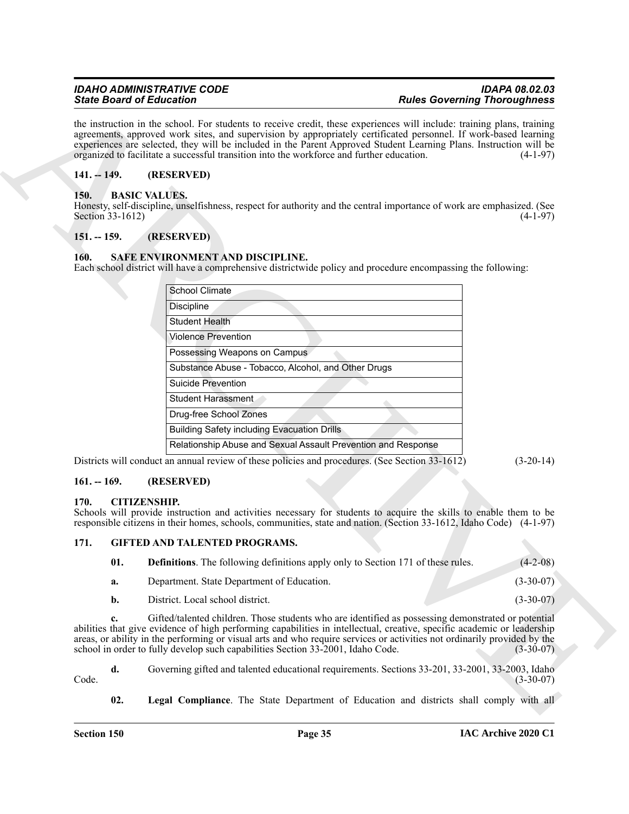#### <span id="page-34-0"></span>**141. -- 149. (RESERVED)**

#### <span id="page-34-7"></span><span id="page-34-1"></span>**150. BASIC VALUES.**

#### <span id="page-34-2"></span>**151. -- 159. (RESERVED)**

#### <span id="page-34-12"></span><span id="page-34-3"></span>**160. SAFE ENVIRONMENT AND DISCIPLINE.**

|                          | <b>State Board of Education</b>                                                                 | <b>Rules Governing Thoroughness</b>                                                                                                                                                                                                                                                                                                                                             |
|--------------------------|-------------------------------------------------------------------------------------------------|---------------------------------------------------------------------------------------------------------------------------------------------------------------------------------------------------------------------------------------------------------------------------------------------------------------------------------------------------------------------------------|
|                          | organized to facilitate a successful transition into the workforce and further education.       | the instruction in the school. For students to receive credit, these experiences will include: training plans, training<br>agreements, approved work sites, and supervision by appropriately certificated personnel. If work-based learning<br>experiences are selected, they will be included in the Parent Approved Student Learning Plans. Instruction will be<br>$(4-1-97)$ |
| $141. - 149.$            | (RESERVED)                                                                                      |                                                                                                                                                                                                                                                                                                                                                                                 |
| 150.<br>Section 33-1612) | <b>BASIC VALUES.</b>                                                                            | Honesty, self-discipline, unselfishness, respect for authority and the central importance of work are emphasized. (See<br>$(4-1-97)$                                                                                                                                                                                                                                            |
| $151. - 159.$            | (RESERVED)                                                                                      |                                                                                                                                                                                                                                                                                                                                                                                 |
| 160.                     | SAFE ENVIRONMENT AND DISCIPLINE.                                                                | Each school district will have a comprehensive districtwide policy and procedure encompassing the following:                                                                                                                                                                                                                                                                    |
|                          | School Climate                                                                                  |                                                                                                                                                                                                                                                                                                                                                                                 |
|                          | <b>Discipline</b>                                                                               |                                                                                                                                                                                                                                                                                                                                                                                 |
|                          | <b>Student Health</b>                                                                           |                                                                                                                                                                                                                                                                                                                                                                                 |
|                          | <b>Violence Prevention</b>                                                                      |                                                                                                                                                                                                                                                                                                                                                                                 |
|                          | Possessing Weapons on Campus                                                                    |                                                                                                                                                                                                                                                                                                                                                                                 |
|                          | Substance Abuse - Tobacco, Alcohol, and Other Drugs                                             |                                                                                                                                                                                                                                                                                                                                                                                 |
|                          | <b>Suicide Prevention</b>                                                                       |                                                                                                                                                                                                                                                                                                                                                                                 |
|                          | <b>Student Harassment</b>                                                                       |                                                                                                                                                                                                                                                                                                                                                                                 |
|                          | Drug-free School Zones                                                                          |                                                                                                                                                                                                                                                                                                                                                                                 |
|                          | <b>Building Safety including Evacuation Drills</b>                                              |                                                                                                                                                                                                                                                                                                                                                                                 |
|                          |                                                                                                 | Relationship Abuse and Sexual Assault Prevention and Response                                                                                                                                                                                                                                                                                                                   |
|                          | Districts will conduct an annual review of these policies and procedures. (See Section 33-1612) | $(3-20-14)$                                                                                                                                                                                                                                                                                                                                                                     |
| $161. - 169.$            | (RESERVED)                                                                                      |                                                                                                                                                                                                                                                                                                                                                                                 |
| 170.                     | <b>CITIZENSHIP.</b>                                                                             |                                                                                                                                                                                                                                                                                                                                                                                 |
|                          |                                                                                                 | Schools will provide instruction and activities necessary for students to acquire the skills to enable them to be<br>responsible citizens in their homes, schools, communities, state and nation. (Section 33-1612, Idaho Code) (4-1-97)                                                                                                                                        |
| 171.                     | <b>GIFTED AND TALENTED PROGRAMS.</b>                                                            |                                                                                                                                                                                                                                                                                                                                                                                 |
| 01.                      |                                                                                                 | <b>Definitions</b> . The following definitions apply only to Section 171 of these rules.<br>$(4-2-08)$                                                                                                                                                                                                                                                                          |
| a.                       | Department. State Department of Education.                                                      | $(3-30-07)$                                                                                                                                                                                                                                                                                                                                                                     |
| b.                       | District. Local school district.                                                                | $(3-30-07)$                                                                                                                                                                                                                                                                                                                                                                     |
|                          |                                                                                                 | Gifted/talented children. Those students who are identified as possessing demonstrated or potential                                                                                                                                                                                                                                                                             |
| c.                       | school in order to fully develop such capabilities Section 33-2001, Idaho Code.                 | abilities that give evidence of high performing capabilities in intellectual, creative, specific academic or leadership<br>areas, or ability in the performing or visual arts and who require services or activities not ordinarily provided by the<br>$(3-30-07)$                                                                                                              |
| d.                       |                                                                                                 | Governing gifted and talented educational requirements. Sections 33-201, 33-2001, 33-2003, Idaho                                                                                                                                                                                                                                                                                |
| Code.                    |                                                                                                 | $(3-30-07)$                                                                                                                                                                                                                                                                                                                                                                     |

#### <span id="page-34-4"></span>**161. -- 169. (RESERVED)**

#### <span id="page-34-8"></span><span id="page-34-5"></span>**170. CITIZENSHIP.**

#### <span id="page-34-6"></span>**171. GIFTED AND TALENTED PROGRAMS.**

<span id="page-34-11"></span><span id="page-34-10"></span><span id="page-34-9"></span>

| 01. | <b>Definitions.</b> The following definitions apply only to Section 171 of these rules. | $(4-2-08)$  |
|-----|-----------------------------------------------------------------------------------------|-------------|
| а.  | Department. State Department of Education.                                              | $(3-30-07)$ |
| b.  | District. Local school district.                                                        | $(3-30-07)$ |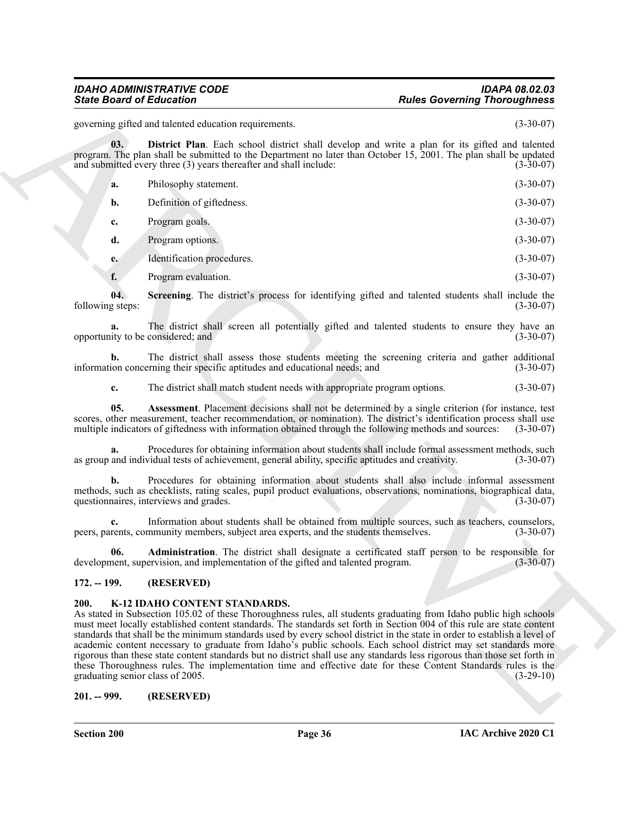#### *IDAHO ADMINISTRATIVE CODE IDAPA 08.02.03 State Board of Education Rules Governing Thoroughness*

governing gifted and talented education requirements. (3-30-07)

**03. District Plan**. Each school district shall develop and write a plan for its gifted and talented program. The plan shall be submitted to the Department no later than October 15, 2001. The plan shall be updated and submitted every three (3) years thereafter and shall include: (3-30-07) and submitted every three  $(3)$  years thereafter and shall include:

<span id="page-35-5"></span>

| а. | Philosophy statement.     | $(3-30-07)$ |
|----|---------------------------|-------------|
|    | Definition of giftedness. | $(3-30-07)$ |
|    | $\sim$                    |             |

**c.** Program goals. (3-30-07) **d.** Program options. (3-30-07)

**e.** Identification procedures. (3-30-07)

<span id="page-35-6"></span>**f.** Program evaluation. (3-30-07)

**04. Screening**. The district's process for identifying gifted and talented students shall include the following steps: (3-30-07)

**a.** The district shall screen all potentially gifted and talented students to ensure they have an ity to be considered; and (3-30-07) opportunity to be considered; and

**b.** The district shall assess those students meeting the screening criteria and gather additional ion concerning their specific aptitudes and educational needs; and (3-30-07) information concerning their specific aptitudes and educational needs; and

<span id="page-35-4"></span>**c.** The district shall match student needs with appropriate program options. (3-30-07)

**05. Assessment**. Placement decisions shall not be determined by a single criterion (for instance, test scores, other measurement, teacher recommendation, or nomination). The district's identification process shall use<br>multiple indicators of giftedness with information obtained through the following methods and sources: (3-3 multiple indicators of giftedness with information obtained through the following methods and sources:

**a.** Procedures for obtaining information about students shall include formal assessment methods, such and individual tests of achievement, general ability, specific aptitudes and creativity. (3-30-07) as group and individual tests of achievement, general ability, specific aptitudes and creativity.

**b.** Procedures for obtaining information about students shall also include informal assessment methods, such as checklists, rating scales, pupil product evaluations, observations, nominations, biographical data, questionnaires, interviews and grades. (3-30-07) (3-30-07)

**c.** Information about students shall be obtained from multiple sources, such as teachers, counselors, rents, community members, subject area experts, and the students themselves. (3-30-07) peers, parents, community members, subject area experts, and the students themselves.

<span id="page-35-3"></span>**06. Administration**. The district shall designate a certificated staff person to be responsible for nent, supervision, and implementation of the gifted and talented program. (3-30-07) development, supervision, and implementation of the gifted and talented program.

#### <span id="page-35-7"></span><span id="page-35-0"></span>**172. -- 199. (RESERVED)**

#### <span id="page-35-1"></span>**200. K-12 IDAHO CONTENT STANDARDS.**

Since Board of Ecliptoires<br>
systems, and scheme of the state of the state of the state of the state of the state of the state of the state of the state of the state of the state of the state of the state of the state of t As stated in Subsection 105.02 of these Thoroughness rules, all students graduating from Idaho public high schools must meet locally established content standards. The standards set forth in Section 004 of this rule are state content standards that shall be the minimum standards used by every school district in the state in order to establish a level of academic content necessary to graduate from Idaho's public schools. Each school district may set standards more rigorous than these state content standards but no district shall use any standards less rigorous than those set forth in these Thoroughness rules. The implementation time and effective date for these Content Standards rules is the graduating senior class of 2005. graduating senior class of 2005.

#### <span id="page-35-2"></span>**201. -- 999. (RESERVED)**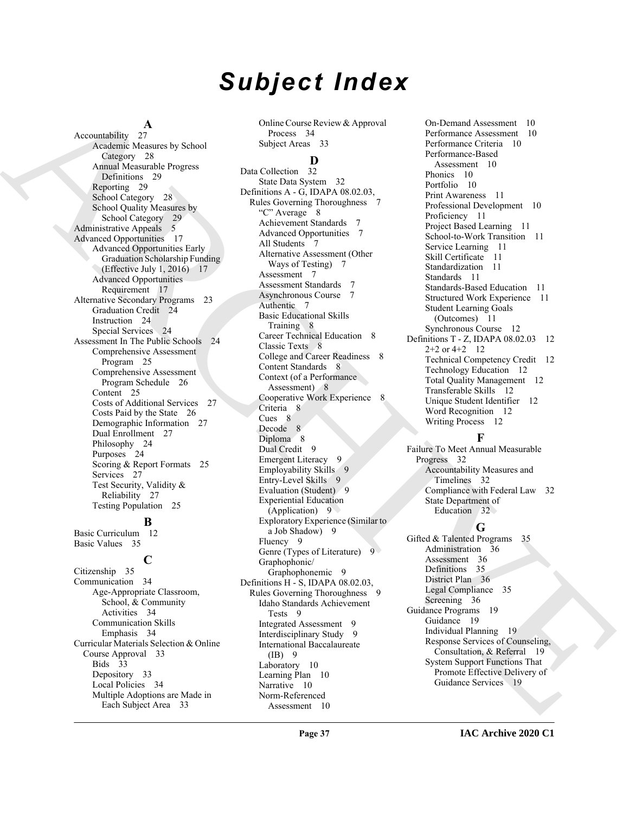# *Subject Index*

 $\frac{A}{27}$ 

Accountability Academic Measures by School Category 28 Annual Measurable Progress Definitions 29 Reporting 29 School Category 28 School Quality Measures by School Category 29 Administrative Appeals 5 Advanced Opportunities 17 Advanced Opportunities Early Graduation Scholarship Funding (Effective July 1, 2016) 17 Advanced Opportunities Requirement 17 Alternative Secondary Programs 23 Graduation Credit 24 Instruction 24 Special Services 24 Assessment In The Public Schools 24 Comprehensive Assessment Program 25 Comprehensive Assessment Program Schedule 26 Content 25 Costs of Additional Services 27 Costs Paid by the State 26 Demographic Information 27 Dual Enrollment 27 Philosophy 24 Purposes 24 Scoring & Report Formats 25 Services 27 Test Security, Validity & Reliability 27 Testing Population 25

#### **B**

Basic Curriculum 12 Basic Values 35

#### **C**

Citizenship 35 Communication 34 Age-Appropriate Classroom, School, & Community Activities 34 Communication Skills Emphasis 34 Curricular Materials Selection & Online Course Approval 33 Bids 33 Depository 33 Local Policies 34 Multiple Adoptions are Made in Each Subject Area 33

Online Course Review & Approval Process 34 Subject Areas 33

#### **D**

[A](#page-27-0) considerably a considerable of the state of the state of the state of the state of the state of the state of the state of the state of the state of the state of the state of the state of the state of the state of the st Data Collection 32 State Data System 32 Definitions A - G, IDAPA 08.02.03, Rules Governing Thoroughness 7 "C" Average 8 Achievement Standards 7 Advanced Opportunities 7 All Students 7 Alternative Assessment (Other Ways of Testing) 7 Assessment 7 Assessment Standards 7 Asynchronous Course 7 Authentic 7 Basic Educational Skills Training 8 Career Technical Education 8 Classic Texts 8 College and Career Readiness 8 Content Standards 8 Context (of a Performance Assessment) 8 Cooperative Work Experience 8 Criteria 8 Cues 8 Decode 8 Diploma 8 Dual Credit 9 Emergent Literacy 9 Employability Skills 9 Entry-Level Skills 9 Evaluation (Student) 9 Experiential Education (Application) 9 Exploratory Experience (Similar to a Job Shadow) 9 Fluency 9 Genre (Types of Literature) 9 Graphophonic/ Graphophonemic 9 Definitions H - S, IDAPA 08.02.03, Rules Governing Thoroughness 9 Idaho Standards Achievement Tests 9 Integrated Assessment 9 Interdisciplinary Study 9 International Baccalaureate  $(IB)$  9 Laboratory 10 Learning Plan 10 Narrative 10 Norm-Referenced Assessment 10

On-Demand Assessment 10 Performance Assessment 10 Performance Criteria 10 Performance-Based Assessment 10 Phonics 10 Portfolio 10 Print Awareness 11 Professional Development 10 Proficiency 11 Project Based Learning 11 School-to-Work Transition 11 Service Learning 11 Skill Certificate 11 Standardization 11 Standards 11 Standards-Based Education 11 Structured Work Experience 11 Student Learning Goals (Outcomes) 11 Synchronous Course 12 Definitions T - Z, IDAPA 08.02.03 12 2+2 or 4+2 12 Technical Competency Credit 12 Technology Education 12 Total Quality Management 12 Transferable Skills 12 Unique Student Identifier 12 Word Recognition 12 Writing Process 12

#### **F**

Failure To Meet Annual Measurable Progress 32 Accountability Measures and Timelines 32 Compliance with Federal Law 32 State Department of Education 32

#### **G**

Gifted & Talented Programs 35 Administration 36 Assessment 36 Definitions 35 District Plan 36 Legal Compliance 35 Screening 36 Guidance Programs 19 Guidance 19 Individual Planning 19 Response Services of Counseling, Consultation, & Referral 19 System Support Functions That Promote Effective Delivery of Guidance Services 19